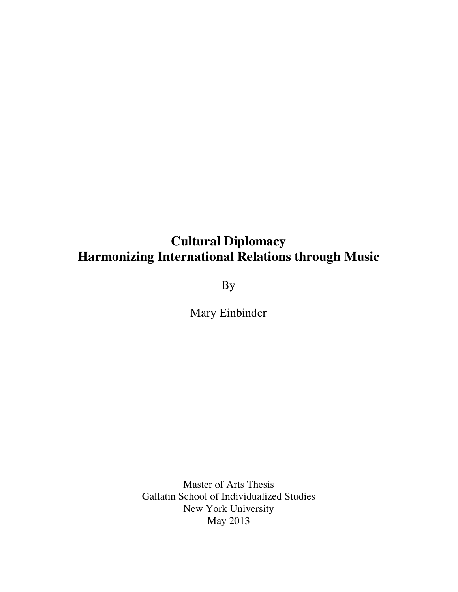By

Mary Einbinder

Master of Arts Thesis Gallatin School of Individualized Studies New York University May 2013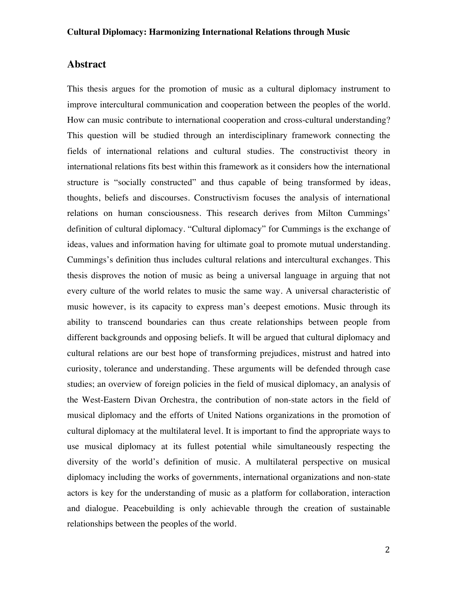# **Abstract**

This thesis argues for the promotion of music as a cultural diplomacy instrument to improve intercultural communication and cooperation between the peoples of the world. How can music contribute to international cooperation and cross-cultural understanding? This question will be studied through an interdisciplinary framework connecting the fields of international relations and cultural studies. The constructivist theory in international relations fits best within this framework as it considers how the international structure is "socially constructed" and thus capable of being transformed by ideas, thoughts, beliefs and discourses. Constructivism focuses the analysis of international relations on human consciousness. This research derives from Milton Cummings' definition of cultural diplomacy. "Cultural diplomacy" for Cummings is the exchange of ideas, values and information having for ultimate goal to promote mutual understanding. Cummings's definition thus includes cultural relations and intercultural exchanges. This thesis disproves the notion of music as being a universal language in arguing that not every culture of the world relates to music the same way. A universal characteristic of music however, is its capacity to express man's deepest emotions. Music through its ability to transcend boundaries can thus create relationships between people from different backgrounds and opposing beliefs. It will be argued that cultural diplomacy and cultural relations are our best hope of transforming prejudices, mistrust and hatred into curiosity, tolerance and understanding. These arguments will be defended through case studies; an overview of foreign policies in the field of musical diplomacy, an analysis of the West-Eastern Divan Orchestra, the contribution of non-state actors in the field of musical diplomacy and the efforts of United Nations organizations in the promotion of cultural diplomacy at the multilateral level. It is important to find the appropriate ways to use musical diplomacy at its fullest potential while simultaneously respecting the diversity of the world's definition of music. A multilateral perspective on musical diplomacy including the works of governments, international organizations and non-state actors is key for the understanding of music as a platform for collaboration, interaction and dialogue. Peacebuilding is only achievable through the creation of sustainable relationships between the peoples of the world.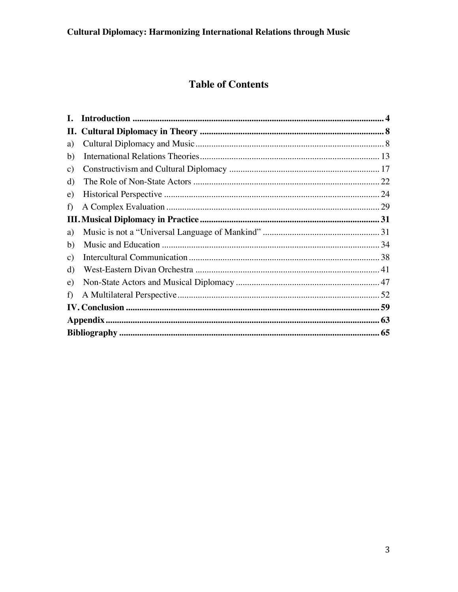# **Table of Contents**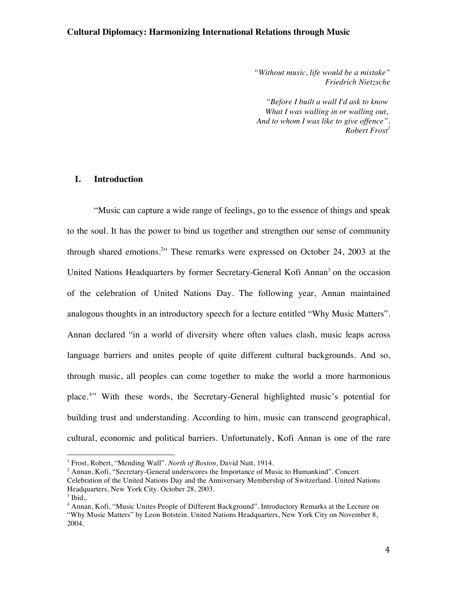*"Without music, life would be a mistake" Friedrich Nietzsche*

*"Before I built a wall I'd ask to know What I was walling in or walling out, And to whom I was like to give offence". Robert Frost1*

# **I. Introduction**

"Music can capture a wide range of feelings, go to the essence of things and speak to the soul. It has the power to bind us together and strengthen our sense of community through shared emotions.<sup>2</sup>" These remarks were expressed on October 24, 2003 at the United Nations Headquarters by former Secretary-General Kofi Annan<sup>3</sup> on the occasion of the celebration of United Nations Day. The following year, Annan maintained analogous thoughts in an introductory speech for a lecture entitled "Why Music Matters". Annan declared "in a world of diversity where often values clash, music leaps across language barriers and unites people of quite different cultural backgrounds. And so, through music, all peoples can come together to make the world a more harmonious place.<sup>4</sup>" With these words, the Secretary-General highlighted music's potential for building trust and understanding. According to him, music can transcend geographical, cultural, economic and political barriers. Unfortunately, Kofi Annan is one of the rare

<sup>1</sup> Frost, Robert, "Mending Wall". *North of Boston*, David Nutt, 1914.

<sup>&</sup>lt;sup>2</sup> Annan, Kofi, "Secretary-General underscores the Importance of Music to Humankind". Concert Celebration of the United Nations Day and the Anniversary Membership of Switzerland. United Nations Headquarters, New York City. October 28, 2003.

 $3$  Ibid..

<sup>4</sup> Annan, Kofi, "Music Unites People of Different Background". Introductory Remarks at the Lecture on "Why Music Matters" by Leon Botstein. United Nations Headquarters, New York City on November 8, 2004.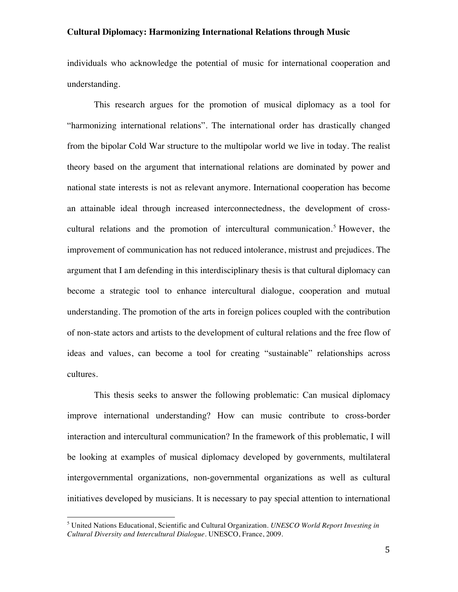individuals who acknowledge the potential of music for international cooperation and understanding.

This research argues for the promotion of musical diplomacy as a tool for "harmonizing international relations". The international order has drastically changed from the bipolar Cold War structure to the multipolar world we live in today. The realist theory based on the argument that international relations are dominated by power and national state interests is not as relevant anymore. International cooperation has become an attainable ideal through increased interconnectedness, the development of crosscultural relations and the promotion of intercultural communication.<sup>5</sup> However, the improvement of communication has not reduced intolerance, mistrust and prejudices. The argument that I am defending in this interdisciplinary thesis is that cultural diplomacy can become a strategic tool to enhance intercultural dialogue, cooperation and mutual understanding. The promotion of the arts in foreign polices coupled with the contribution of non-state actors and artists to the development of cultural relations and the free flow of ideas and values, can become a tool for creating "sustainable" relationships across cultures.

This thesis seeks to answer the following problematic: Can musical diplomacy improve international understanding? How can music contribute to cross-border interaction and intercultural communication? In the framework of this problematic, I will be looking at examples of musical diplomacy developed by governments, multilateral intergovernmental organizations, non-governmental organizations as well as cultural initiatives developed by musicians. It is necessary to pay special attention to international

<sup>5</sup> United Nations Educational, Scientific and Cultural Organization. *UNESCO World Report Investing in Cultural Diversity and Intercultural Dialogue.* UNESCO, France, 2009.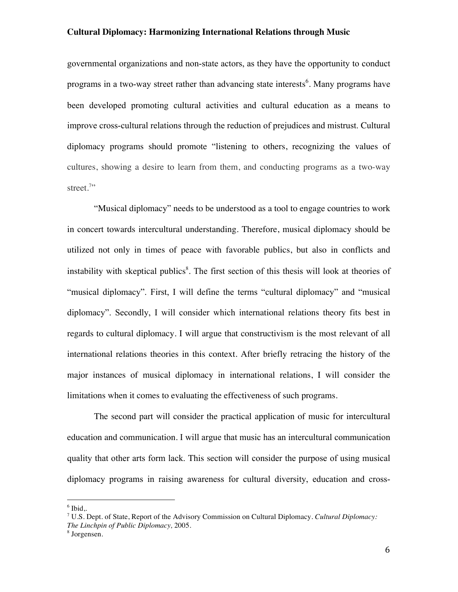governmental organizations and non-state actors, as they have the opportunity to conduct programs in a two-way street rather than advancing state interests<sup>6</sup>. Many programs have been developed promoting cultural activities and cultural education as a means to improve cross-cultural relations through the reduction of prejudices and mistrust. Cultural diplomacy programs should promote "listening to others, recognizing the values of cultures, showing a desire to learn from them, and conducting programs as a two-way street.<sup>7</sup>"

"Musical diplomacy" needs to be understood as a tool to engage countries to work in concert towards intercultural understanding. Therefore, musical diplomacy should be utilized not only in times of peace with favorable publics, but also in conflicts and instability with skeptical publics<sup>8</sup>. The first section of this thesis will look at theories of "musical diplomacy". First, I will define the terms "cultural diplomacy" and "musical diplomacy". Secondly, I will consider which international relations theory fits best in regards to cultural diplomacy. I will argue that constructivism is the most relevant of all international relations theories in this context. After briefly retracing the history of the major instances of musical diplomacy in international relations, I will consider the limitations when it comes to evaluating the effectiveness of such programs.

The second part will consider the practical application of music for intercultural education and communication. I will argue that music has an intercultural communication quality that other arts form lack. This section will consider the purpose of using musical diplomacy programs in raising awareness for cultural diversity, education and cross-

 $6$  Ibid..

<sup>7</sup> U.S. Dept. of State, Report of the Advisory Commission on Cultural Diplomacy. *Cultural Diplomacy: The Linchpin of Public Diplomacy,* 2005.

<sup>8</sup> Jorgensen.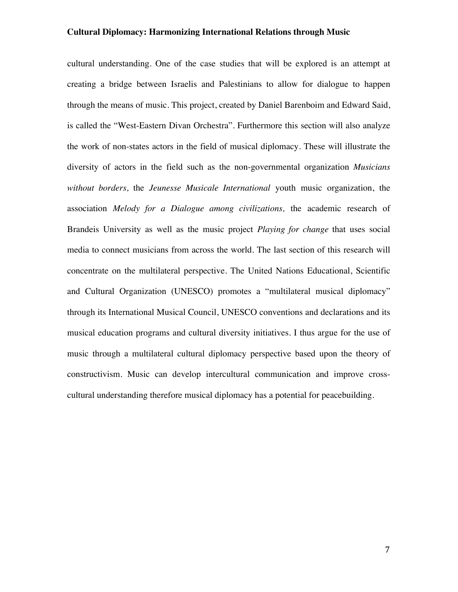cultural understanding. One of the case studies that will be explored is an attempt at creating a bridge between Israelis and Palestinians to allow for dialogue to happen through the means of music. This project, created by Daniel Barenboim and Edward Said, is called the "West-Eastern Divan Orchestra". Furthermore this section will also analyze the work of non-states actors in the field of musical diplomacy. These will illustrate the diversity of actors in the field such as the non-governmental organization *Musicians without borders,* the *Jeunesse Musicale International* youth music organization, the association *Melody for a Dialogue among civilizations,* the academic research of Brandeis University as well as the music project *Playing for change* that uses social media to connect musicians from across the world. The last section of this research will concentrate on the multilateral perspective. The United Nations Educational, Scientific and Cultural Organization (UNESCO) promotes a "multilateral musical diplomacy" through its International Musical Council, UNESCO conventions and declarations and its musical education programs and cultural diversity initiatives. I thus argue for the use of music through a multilateral cultural diplomacy perspective based upon the theory of constructivism. Music can develop intercultural communication and improve crosscultural understanding therefore musical diplomacy has a potential for peacebuilding.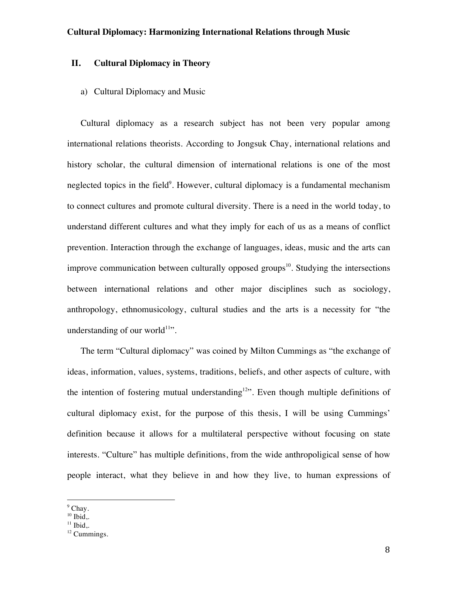# **II. Cultural Diplomacy in Theory**

## a) Cultural Diplomacy and Music

Cultural diplomacy as a research subject has not been very popular among international relations theorists. According to Jongsuk Chay, international relations and history scholar, the cultural dimension of international relations is one of the most neglected topics in the field<sup>9</sup>. However, cultural diplomacy is a fundamental mechanism to connect cultures and promote cultural diversity. There is a need in the world today, to understand different cultures and what they imply for each of us as a means of conflict prevention. Interaction through the exchange of languages, ideas, music and the arts can improve communication between culturally opposed groups<sup>10</sup>. Studying the intersections between international relations and other major disciplines such as sociology, anthropology, ethnomusicology, cultural studies and the arts is a necessity for "the understanding of our world<sup>11</sup>".

The term "Cultural diplomacy" was coined by Milton Cummings as "the exchange of ideas, information, values, systems, traditions, beliefs, and other aspects of culture, with the intention of fostering mutual understanding<sup>12"</sup>. Even though multiple definitions of cultural diplomacy exist, for the purpose of this thesis, I will be using Cummings' definition because it allows for a multilateral perspective without focusing on state interests. "Culture" has multiple definitions, from the wide anthropoligical sense of how people interact, what they believe in and how they live, to human expressions of

 $<sup>9</sup>$  Chay.</sup>

 $10$  Ibid..

 $11$  Ibid..

<sup>&</sup>lt;sup>12</sup> Cummings.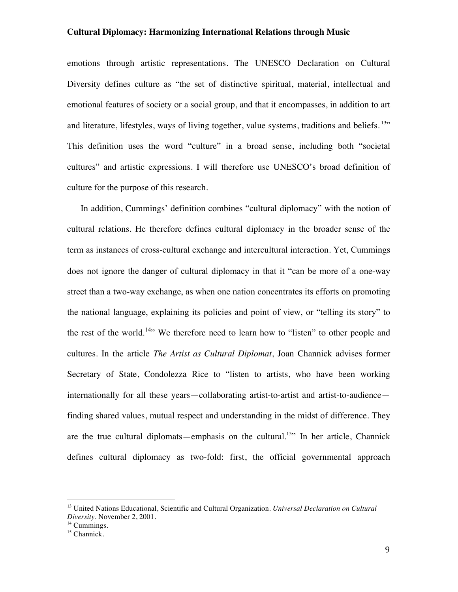emotions through artistic representations. The UNESCO Declaration on Cultural Diversity defines culture as "the set of distinctive spiritual, material, intellectual and emotional features of society or a social group, and that it encompasses, in addition to art and literature, lifestyles, ways of living together, value systems, traditions and beliefs. <sup>13</sup>" This definition uses the word "culture" in a broad sense, including both "societal cultures" and artistic expressions. I will therefore use UNESCO's broad definition of culture for the purpose of this research.

In addition, Cummings' definition combines "cultural diplomacy" with the notion of cultural relations. He therefore defines cultural diplomacy in the broader sense of the term as instances of cross-cultural exchange and intercultural interaction. Yet, Cummings does not ignore the danger of cultural diplomacy in that it "can be more of a one-way street than a two-way exchange, as when one nation concentrates its efforts on promoting the national language, explaining its policies and point of view, or "telling its story" to the rest of the world.<sup>14</sup><sup>\*</sup> We therefore need to learn how to "listen" to other people and cultures. In the article *The Artist as Cultural Diplomat*, Joan Channick advises former Secretary of State, Condolezza Rice to "listen to artists, who have been working internationally for all these years—collaborating artist-to-artist and artist-to-audience finding shared values, mutual respect and understanding in the midst of difference. They are the true cultural diplomats—emphasis on the cultural.<sup>15</sup> In her article, Channick defines cultural diplomacy as two-fold: first, the official governmental approach

<sup>13</sup> United Nations Educational, Scientific and Cultural Organization. *Universal Declaration on Cultural Diversity.* November 2, 2001.

<sup>&</sup>lt;sup>14</sup> Cummings.

 $15$  Channick.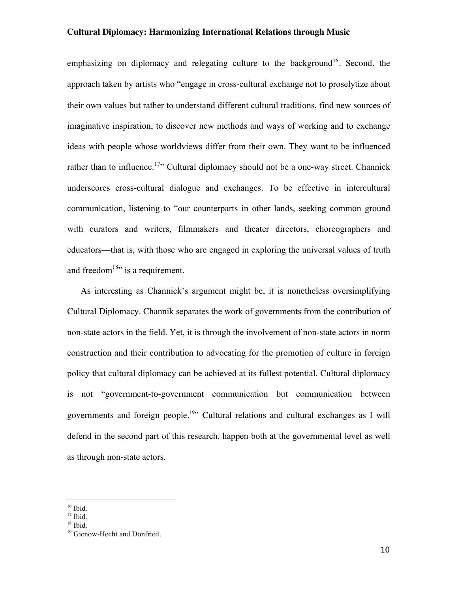emphasizing on diplomacy and relegating culture to the background<sup>16</sup>. Second, the approach taken by artists who "engage in cross-cultural exchange not to proselytize about their own values but rather to understand different cultural traditions, find new sources of imaginative inspiration, to discover new methods and ways of working and to exchange ideas with people whose worldviews differ from their own. They want to be influenced rather than to influence.<sup>17</sup><sup>,</sup> Cultural diplomacy should not be a one-way street. Channick underscores cross-cultural dialogue and exchanges. To be effective in intercultural communication, listening to "our counterparts in other lands, seeking common ground with curators and writers, filmmakers and theater directors, choreographers and educators—that is, with those who are engaged in exploring the universal values of truth and freedom<sup>18</sup>" is a requirement.

As interesting as Channick's argument might be, it is nonetheless oversimplifying Cultural Diplomacy. Channik separates the work of governments from the contribution of non-state actors in the field. Yet, it is through the involvement of non-state actors in norm construction and their contribution to advocating for the promotion of culture in foreign policy that cultural diplomacy can be achieved at its fullest potential. Cultural diplomacy is not "government-to-government communication but communication between governments and foreign people.<sup>19</sup>" Cultural relations and cultural exchanges as I will defend in the second part of this research, happen both at the governmental level as well as through non-state actors.

 $16$  Ibid.

 $17$  Ibid.

 $18$  Ibid.

<sup>&</sup>lt;sup>19</sup> Gienow-Hecht and Donfried.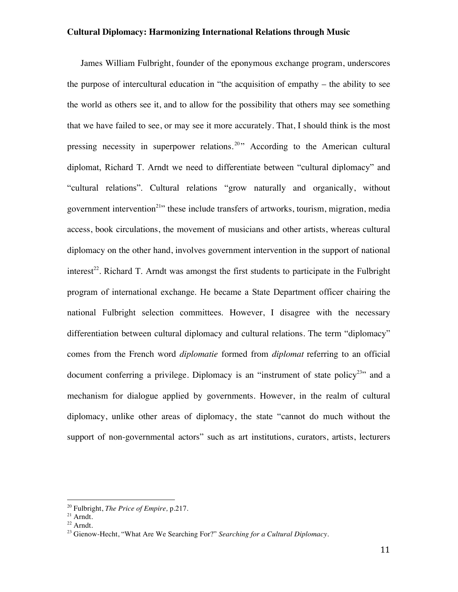James William Fulbright, founder of the eponymous exchange program, underscores the purpose of intercultural education in "the acquisition of empathy – the ability to see the world as others see it, and to allow for the possibility that others may see something that we have failed to see, or may see it more accurately. That, I should think is the most pressing necessity in superpower relations.<sup>20</sup> According to the American cultural diplomat, Richard T. Arndt we need to differentiate between "cultural diplomacy" and "cultural relations". Cultural relations "grow naturally and organically, without government intervention<sup>21</sup>" these include transfers of artworks, tourism, migration, media access, book circulations, the movement of musicians and other artists, whereas cultural diplomacy on the other hand, involves government intervention in the support of national interest<sup>22</sup>. Richard T. Arndt was amongst the first students to participate in the Fulbright program of international exchange. He became a State Department officer chairing the national Fulbright selection committees. However, I disagree with the necessary differentiation between cultural diplomacy and cultural relations. The term "diplomacy" comes from the French word *diplomatie* formed from *diplomat* referring to an official document conferring a privilege. Diplomacy is an "instrument of state policy<sup>23</sup>" and a mechanism for dialogue applied by governments. However, in the realm of cultural diplomacy, unlike other areas of diplomacy, the state "cannot do much without the support of non-governmental actors" such as art institutions, curators, artists, lecturers

<sup>20</sup> Fulbright, *The Price of Empire,* p.217.

<sup>21</sup> Arndt.

 $^{22}$  Arndt.

<sup>23</sup> Gienow-Hecht, "What Are We Searching For?" *Searching for a Cultural Diplomacy.*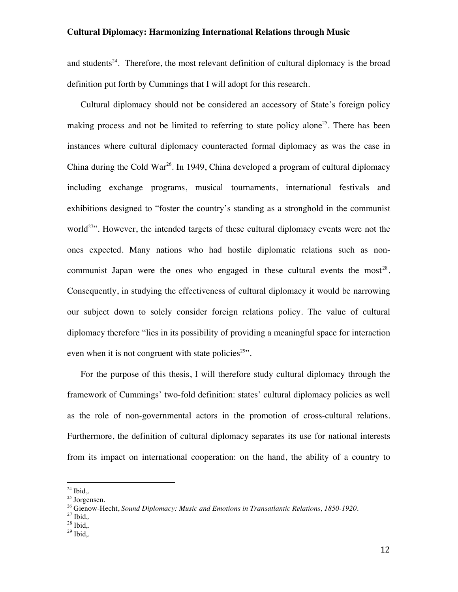and students<sup>24</sup>. Therefore, the most relevant definition of cultural diplomacy is the broad definition put forth by Cummings that I will adopt for this research.

Cultural diplomacy should not be considered an accessory of State's foreign policy making process and not be limited to referring to state policy alone<sup>25</sup>. There has been instances where cultural diplomacy counteracted formal diplomacy as was the case in China during the Cold War<sup>26</sup>. In 1949, China developed a program of cultural diplomacy including exchange programs, musical tournaments, international festivals and exhibitions designed to "foster the country's standing as a stronghold in the communist world<sup>27</sup>. However, the intended targets of these cultural diplomacy events were not the ones expected. Many nations who had hostile diplomatic relations such as noncommunist Japan were the ones who engaged in these cultural events the most<sup>28</sup>. Consequently, in studying the effectiveness of cultural diplomacy it would be narrowing our subject down to solely consider foreign relations policy. The value of cultural diplomacy therefore "lies in its possibility of providing a meaningful space for interaction even when it is not congruent with state policies<sup> $29$ </sup>.

For the purpose of this thesis, I will therefore study cultural diplomacy through the framework of Cummings' two-fold definition: states' cultural diplomacy policies as well as the role of non-governmental actors in the promotion of cross-cultural relations. Furthermore, the definition of cultural diplomacy separates its use for national interests from its impact on international cooperation: on the hand, the ability of a country to

 $24$  Ibid..

<sup>25</sup> Jorgensen.

<sup>&</sup>lt;sup>26</sup> Gienow-Hecht, *Sound Diplomacy: Music and Emotions in Transatlantic Relations, 1850-1920.*<br><sup>27</sup> Ibid,.<br><sup>28</sup> Ibid,.<br><sup>28</sup> Ibid..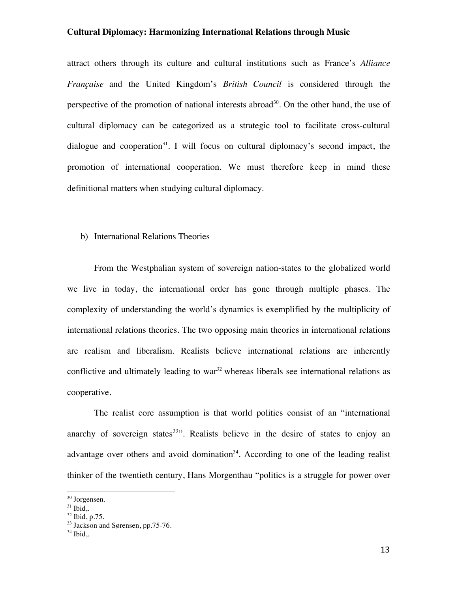attract others through its culture and cultural institutions such as France's *Alliance Française* and the United Kingdom's *British Council* is considered through the perspective of the promotion of national interests abroad<sup>30</sup>. On the other hand, the use of cultural diplomacy can be categorized as a strategic tool to facilitate cross-cultural dialogue and cooperation<sup>31</sup>. I will focus on cultural diplomacy's second impact, the promotion of international cooperation. We must therefore keep in mind these definitional matters when studying cultural diplomacy.

#### b) International Relations Theories

From the Westphalian system of sovereign nation-states to the globalized world we live in today, the international order has gone through multiple phases. The complexity of understanding the world's dynamics is exemplified by the multiplicity of international relations theories. The two opposing main theories in international relations are realism and liberalism. Realists believe international relations are inherently conflictive and ultimately leading to war<sup>32</sup> whereas liberals see international relations as cooperative.

The realist core assumption is that world politics consist of an "international anarchy of sovereign states $33$ . Realists believe in the desire of states to enjoy an advantage over others and avoid domination<sup>34</sup>. According to one of the leading realist thinker of the twentieth century, Hans Morgenthau "politics is a struggle for power over

<sup>30</sup> Jorgensen.

 $31$  Ibid..

 $32$  Ibid, p.75.

<sup>&</sup>lt;sup>33</sup> Jackson and Sørensen, pp.75-76.

 $34$  Ibid..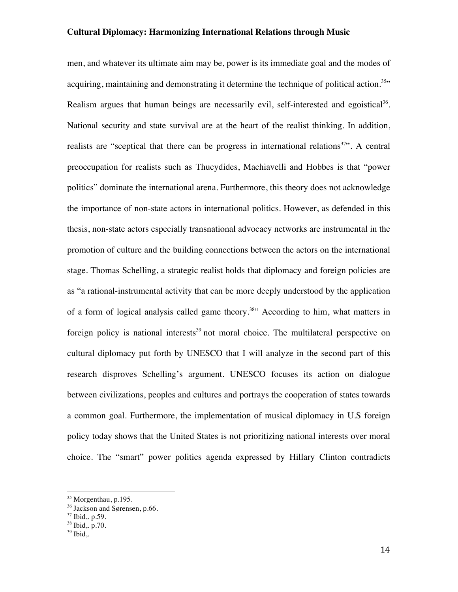men, and whatever its ultimate aim may be, power is its immediate goal and the modes of acquiring, maintaining and demonstrating it determine the technique of political action.<sup>35</sup>" Realism argues that human beings are necessarily evil, self-interested and egoistical<sup>36</sup>. National security and state survival are at the heart of the realist thinking. In addition, realists are "sceptical that there can be progress in international relations<sup>37</sup>". A central preoccupation for realists such as Thucydides, Machiavelli and Hobbes is that "power politics" dominate the international arena. Furthermore, this theory does not acknowledge the importance of non-state actors in international politics. However, as defended in this thesis, non-state actors especially transnational advocacy networks are instrumental in the promotion of culture and the building connections between the actors on the international stage. Thomas Schelling, a strategic realist holds that diplomacy and foreign policies are as "a rational-instrumental activity that can be more deeply understood by the application of a form of logical analysis called game theory.<sup>38</sup> According to him, what matters in foreign policy is national interests<sup>39</sup> not moral choice. The multilateral perspective on cultural diplomacy put forth by UNESCO that I will analyze in the second part of this research disproves Schelling's argument. UNESCO focuses its action on dialogue between civilizations, peoples and cultures and portrays the cooperation of states towards a common goal. Furthermore, the implementation of musical diplomacy in U.S foreign policy today shows that the United States is not prioritizing national interests over moral choice. The "smart" power politics agenda expressed by Hillary Clinton contradicts

<sup>&</sup>lt;sup>35</sup> Morgenthau, p.195.

<sup>&</sup>lt;sup>36</sup> Jackson and Sørensen, p.66.

<sup>37</sup> Ibid,. p.59.

<sup>38</sup> Ibid,. p.70.

 $39$  Ibid..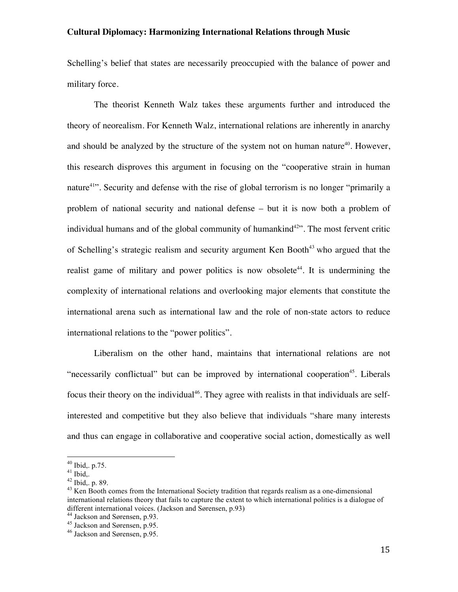Schelling's belief that states are necessarily preoccupied with the balance of power and military force.

The theorist Kenneth Walz takes these arguments further and introduced the theory of neorealism. For Kenneth Walz, international relations are inherently in anarchy and should be analyzed by the structure of the system not on human nature<sup>40</sup>. However, this research disproves this argument in focusing on the "cooperative strain in human nature<sup>41</sup>. Security and defense with the rise of global terrorism is no longer "primarily a problem of national security and national defense – but it is now both a problem of individual humans and of the global community of humankind $42$ . The most fervent critic of Schelling's strategic realism and security argument Ken Booth<sup>43</sup> who argued that the realist game of military and power politics is now obsolete<sup>44</sup>. It is undermining the complexity of international relations and overlooking major elements that constitute the international arena such as international law and the role of non-state actors to reduce international relations to the "power politics".

Liberalism on the other hand, maintains that international relations are not "necessarily conflictual" but can be improved by international cooperation<sup>45</sup>. Liberals focus their theory on the individual<sup>46</sup>. They agree with realists in that individuals are selfinterested and competitive but they also believe that individuals "share many interests and thus can engage in collaborative and cooperative social action, domestically as well

<sup>&</sup>lt;sup>40</sup> Ibid,. p.75.<br><sup>41</sup> Ibid,.<br><sup>42</sup> Ibid,. p. 89.<br><sup>43</sup> Ken Booth comes from the International Society tradition that regards realism as a one-dimensional international relations theory that fails to capture the extent to which international politics is a dialogue of different international voices. (Jackson and Sørensen, p.93)<br><sup>44</sup> Jackson and Sørensen, p.93.<br><sup>45</sup> Jackson and Sørensen, p.95.<br><sup>46</sup> Jackson and Sørensen, p.95.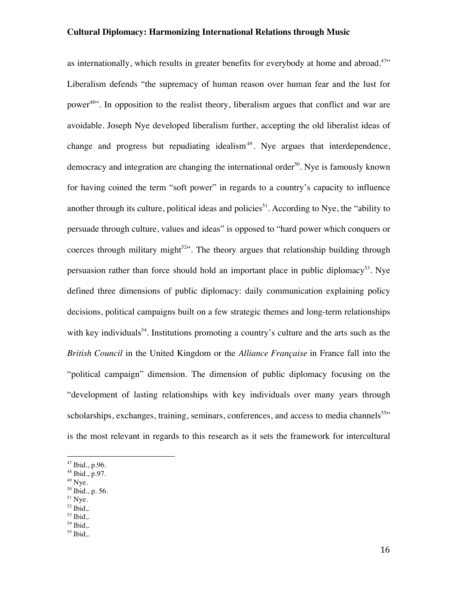as internationally, which results in greater benefits for everybody at home and abroad.<sup>47</sup>" Liberalism defends "the supremacy of human reason over human fear and the lust for power<sup>48</sup>. In opposition to the realist theory, liberalism argues that conflict and war are avoidable. Joseph Nye developed liberalism further, accepting the old liberalist ideas of change and progress but repudiating idealism<sup>49</sup>. Nye argues that interdependence, democracy and integration are changing the international order<sup>50</sup>. Nye is famously known for having coined the term "soft power" in regards to a country's capacity to influence another through its culture, political ideas and policies<sup>51</sup>. According to Nye, the "ability to persuade through culture, values and ideas" is opposed to "hard power which conquers or coerces through military might<sup>52</sup>. The theory argues that relationship building through persuasion rather than force should hold an important place in public diplomacy<sup>53</sup>. Nye defined three dimensions of public diplomacy: daily communication explaining policy decisions, political campaigns built on a few strategic themes and long-term relationships with key individuals<sup>54</sup>. Institutions promoting a country's culture and the arts such as the *British Council* in the United Kingdom or the *Alliance Française* in France fall into the "political campaign" dimension. The dimension of public diplomacy focusing on the "development of lasting relationships with key individuals over many years through scholarships, exchanges, training, seminars, conferences, and access to media channels<sup>55</sup>" is the most relevant in regards to this research as it sets the framework for intercultural

!!!!!!!!!!!!!!!!!!!!!!!!!!!!!!!!!!!!!!!!!!!!!!!!!!!!!!!

- $49$  Nye.
- $50$  Ibid., p. 56.
- $51$  Nye.  $52$  Ibid..
- <sup>53</sup> Ibid,.

 $55$  Ibid,.

<sup>47</sup> Ibid., p.96.

 $48$  Ibid., p.97.

 $54$  Ibid,.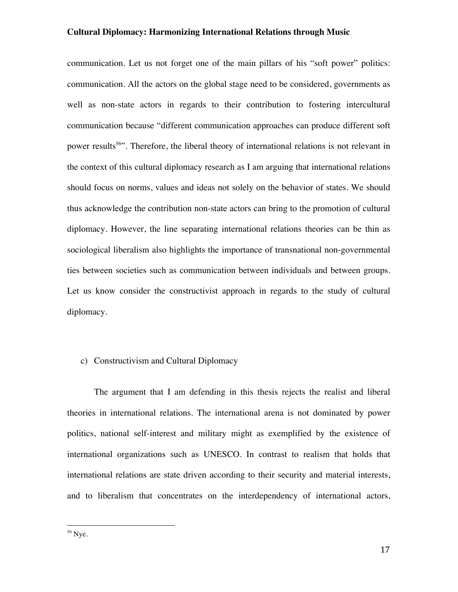communication. Let us not forget one of the main pillars of his "soft power" politics: communication. All the actors on the global stage need to be considered, governments as well as non-state actors in regards to their contribution to fostering intercultural communication because "different communication approaches can produce different soft power results<sup>56</sup>. Therefore, the liberal theory of international relations is not relevant in the context of this cultural diplomacy research as I am arguing that international relations should focus on norms, values and ideas not solely on the behavior of states. We should thus acknowledge the contribution non-state actors can bring to the promotion of cultural diplomacy. However, the line separating international relations theories can be thin as sociological liberalism also highlights the importance of transnational non-governmental ties between societies such as communication between individuals and between groups. Let us know consider the constructivist approach in regards to the study of cultural diplomacy.

#### c) Constructivism and Cultural Diplomacy

The argument that I am defending in this thesis rejects the realist and liberal theories in international relations. The international arena is not dominated by power politics, national self-interest and military might as exemplified by the existence of international organizations such as UNESCO. In contrast to realism that holds that international relations are state driven according to their security and material interests, and to liberalism that concentrates on the interdependency of international actors,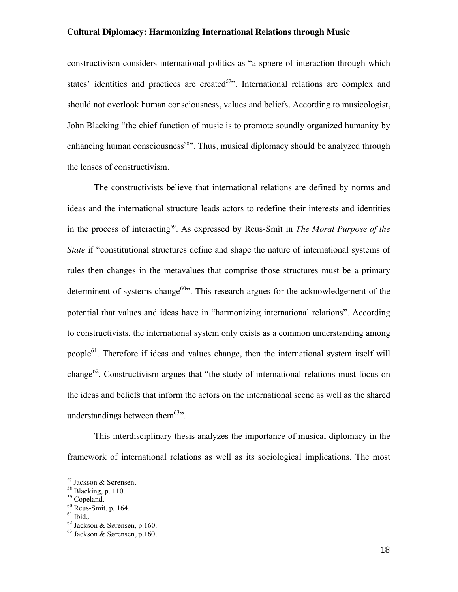constructivism considers international politics as "a sphere of interaction through which states' identities and practices are created<sup>57</sup>. International relations are complex and should not overlook human consciousness, values and beliefs. According to musicologist, John Blacking "the chief function of music is to promote soundly organized humanity by enhancing human consciousness<sup>58</sup>". Thus, musical diplomacy should be analyzed through the lenses of constructivism.

The constructivists believe that international relations are defined by norms and ideas and the international structure leads actors to redefine their interests and identities in the process of interacting<sup>59</sup>. As expressed by Reus-Smit in *The Moral Purpose of the State* if "constitutional structures define and shape the nature of international systems of rules then changes in the metavalues that comprise those structures must be a primary determinent of systems change<sup>60</sup>". This research argues for the acknowledgement of the potential that values and ideas have in "harmonizing international relations". According to constructivists, the international system only exists as a common understanding among people<sup>61</sup>. Therefore if ideas and values change, then the international system itself will change<sup>62</sup>. Constructivism argues that "the study of international relations must focus on the ideas and beliefs that inform the actors on the international scene as well as the shared understandings between them $63$ .

This interdisciplinary thesis analyzes the importance of musical diplomacy in the framework of international relations as well as its sociological implications. The most

<sup>&</sup>lt;sup>57</sup> Jackson & Sørensen.<br><sup>58</sup> Blacking, p. 110.<br><sup>59</sup> Copeland.<br><sup>60</sup> Reus-Smit, p, 164.<br><sup>61</sup> Ibid,.<br><sup>62</sup> Jackson & Sørensen, p.160.

<sup>63</sup> Jackson & Sørensen, p.160.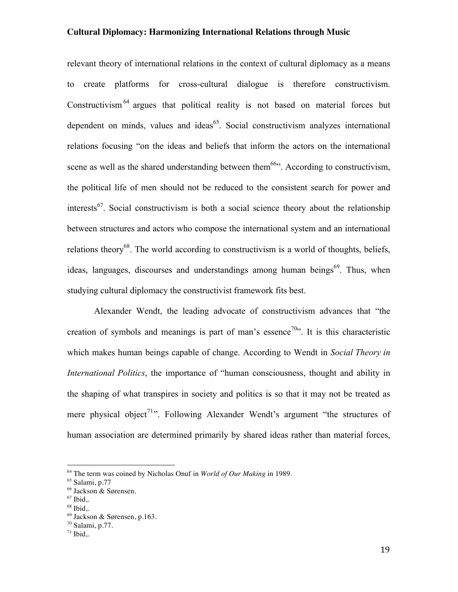relevant theory of international relations in the context of cultural diplomacy as a means to create platforms for cross-cultural dialogue is therefore constructivism. Constructivism<sup>64</sup> argues that political reality is not based on material forces but dependent on minds, values and ideas<sup>65</sup>. Social constructivism analyzes international relations focusing "on the ideas and beliefs that inform the actors on the international scene as well as the shared understanding between them<sup>66</sup>. According to constructivism, the political life of men should not be reduced to the consistent search for power and interests<sup>67</sup>. Social constructivism is both a social science theory about the relationship between structures and actors who compose the international system and an international relations theory<sup>68</sup>. The world according to constructivism is a world of thoughts, beliefs, ideas, languages, discourses and understandings among human beings<sup>69</sup>. Thus, when studying cultural diplomacy the constructivist framework fits best.

Alexander Wendt, the leading advocate of constructivism advances that "the creation of symbols and meanings is part of man's essence<sup>70</sup>. It is this characteristic which makes human beings capable of change. According to Wendt in *Social Theory in International Politics*, the importance of "human consciousness, thought and ability in the shaping of what transpires in society and politics is so that it may not be treated as mere physical object<sup>71</sup>. Following Alexander Wendt's argument "the structures of human association are determined primarily by shared ideas rather than material forces,

<sup>64</sup> The term was coined by Nicholas Onuf in *World of Our Making* in 1989.

<sup>65</sup> Salami, p.77

<sup>&</sup>lt;sup>66</sup> Jackson & Sørensen.<br><sup>67</sup> Ibid..

 $68$  Ibid..

 $69$  Jackson & Sørensen, p.163.

<sup>70</sup> Salami, p.77.

 $71$  Ibid..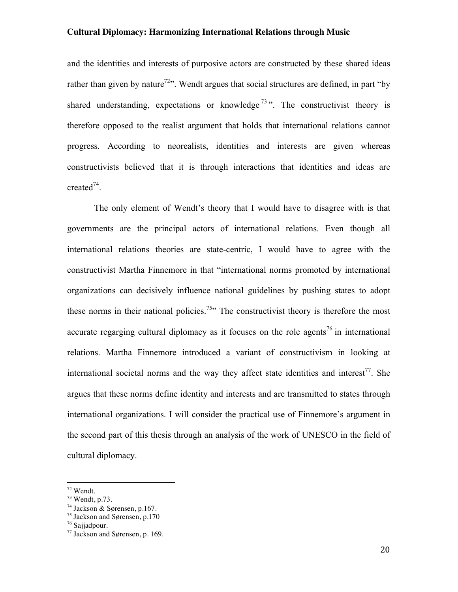and the identities and interests of purposive actors are constructed by these shared ideas rather than given by nature<sup>72</sup>. Wendt argues that social structures are defined, in part "by shared understanding, expectations or knowledge<sup> $73$ </sup>". The constructivist theory is therefore opposed to the realist argument that holds that international relations cannot progress. According to neorealists, identities and interests are given whereas constructivists believed that it is through interactions that identities and ideas are created $^{74}$ .

The only element of Wendt's theory that I would have to disagree with is that governments are the principal actors of international relations. Even though all international relations theories are state-centric, I would have to agree with the constructivist Martha Finnemore in that "international norms promoted by international organizations can decisively influence national guidelines by pushing states to adopt these norms in their national policies.<sup>75</sup><sup>15</sup> The constructivist theory is therefore the most accurate regarging cultural diplomacy as it focuses on the role agents<sup>76</sup> in international relations. Martha Finnemore introduced a variant of constructivism in looking at international societal norms and the way they affect state identities and interest<sup>77</sup>. She argues that these norms define identity and interests and are transmitted to states through international organizations. I will consider the practical use of Finnemore's argument in the second part of this thesis through an analysis of the work of UNESCO in the field of cultural diplomacy.

 $72$  Wendt.<br> $73$  Wendt, p.73.

<sup>74</sup> Jackson & Sørensen, p.167.

<sup>75</sup> Jackson and Sørensen, p.170

<sup>76</sup> Sajjadpour.

<sup>77</sup> Jackson and Sørensen, p. 169.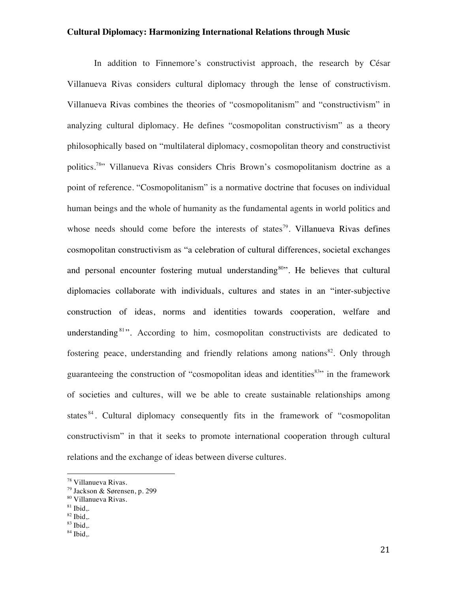In addition to Finnemore's constructivist approach, the research by César Villanueva Rivas considers cultural diplomacy through the lense of constructivism. Villanueva Rivas combines the theories of "cosmopolitanism" and "constructivism" in analyzing cultural diplomacy. He defines "cosmopolitan constructivism" as a theory philosophically based on "multilateral diplomacy, cosmopolitan theory and constructivist politics.78" Villanueva Rivas considers Chris Brown's cosmopolitanism doctrine as a point of reference. "Cosmopolitanism" is a normative doctrine that focuses on individual human beings and the whole of humanity as the fundamental agents in world politics and whose needs should come before the interests of states<sup>79</sup>. Villanueva Rivas defines cosmopolitan constructivism as "a celebration of cultural differences, societal exchanges and personal encounter fostering mutual understanding<sup>80</sup>". He believes that cultural diplomacies collaborate with individuals, cultures and states in an "inter-subjective construction of ideas, norms and identities towards cooperation, welfare and understanding  $81$ ". According to him, cosmopolitan constructivists are dedicated to fostering peace, understanding and friendly relations among nations<sup>82</sup>. Only through guaranteeing the construction of "cosmopolitan ideas and identities<sup>83</sup>" in the framework of societies and cultures, will we be able to create sustainable relationships among states<sup>84</sup>. Cultural diplomacy consequently fits in the framework of "cosmopolitan" constructivism" in that it seeks to promote international cooperation through cultural relations and the exchange of ideas between diverse cultures.

!!!!!!!!!!!!!!!!!!!!!!!!!!!!!!!!!!!!!!!!!!!!!!!!!!!!!!!

 $81$  Ibid..

 $83$  Ibid..

<sup>78</sup> Villanueva Rivas.

<sup>79</sup> Jackson & Sørensen, p. 299

<sup>80</sup> Villanueva Rivas.

 $82$  Ibid,.

 $84$  Ibid,.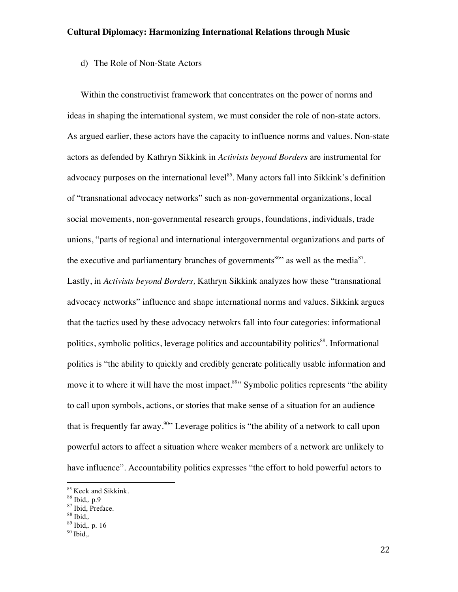# d) The Role of Non-State Actors

Within the constructivist framework that concentrates on the power of norms and ideas in shaping the international system, we must consider the role of non-state actors. As argued earlier, these actors have the capacity to influence norms and values. Non-state actors as defended by Kathryn Sikkink in *Activists beyond Borders* are instrumental for advocacy purposes on the international level<sup>85</sup>. Many actors fall into Sikkink's definition of "transnational advocacy networks" such as non-governmental organizations, local social movements, non-governmental research groups, foundations, individuals, trade unions, "parts of regional and international intergovernmental organizations and parts of the executive and parliamentary branches of governments<sup>86</sup> as well as the media<sup>87</sup>. Lastly, in *Activists beyond Borders,* Kathryn Sikkink analyzes how these "transnational advocacy networks" influence and shape international norms and values. Sikkink argues that the tactics used by these advocacy netwokrs fall into four categories: informational politics, symbolic politics, leverage politics and accountability politics<sup>88</sup>. Informational politics is "the ability to quickly and credibly generate politically usable information and move it to where it will have the most impact.<sup>89</sup> Symbolic politics represents "the ability" to call upon symbols, actions, or stories that make sense of a situation for an audience that is frequently far away.<sup>90</sup> Leverage politics is "the ability of a network to call upon powerful actors to affect a situation where weaker members of a network are unlikely to have influence". Accountability politics expresses "the effort to hold powerful actors to

<sup>&</sup>lt;sup>85</sup> Keck and Sikkink.<br><sup>86</sup> Ibid,. p.9<br><sup>87</sup> Ibid, Preface.<br><sup>88</sup> Ibid,. p. 16

 $90$  Ibid,.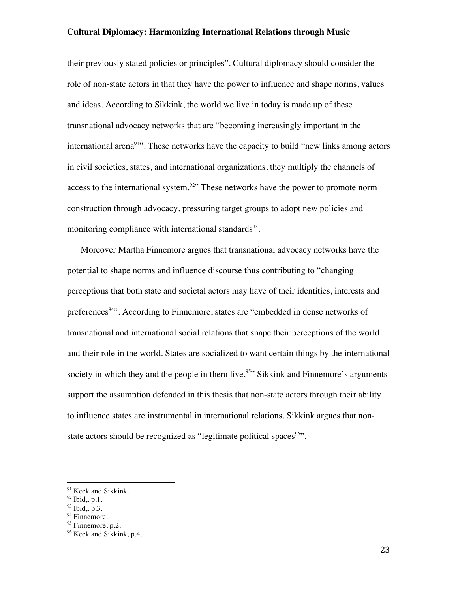their previously stated policies or principles". Cultural diplomacy should consider the role of non-state actors in that they have the power to influence and shape norms, values and ideas. According to Sikkink, the world we live in today is made up of these transnational advocacy networks that are "becoming increasingly important in the international arena<sup>91</sup>. These networks have the capacity to build "new links among actors" in civil societies, states, and international organizations, they multiply the channels of access to the international system.<sup>92</sup> These networks have the power to promote norm construction through advocacy, pressuring target groups to adopt new policies and monitoring compliance with international standards $93$ .

Moreover Martha Finnemore argues that transnational advocacy networks have the potential to shape norms and influence discourse thus contributing to "changing perceptions that both state and societal actors may have of their identities, interests and preferences<sup>94</sup>. According to Finnemore, states are "embedded in dense networks of transnational and international social relations that shape their perceptions of the world and their role in the world. States are socialized to want certain things by the international society in which they and the people in them live.<sup>95</sup> Sikkink and Finnemore's arguments support the assumption defended in this thesis that non-state actors through their ability to influence states are instrumental in international relations. Sikkink argues that nonstate actors should be recognized as "legitimate political spaces<sup>96</sup>".

<sup>&</sup>lt;sup>91</sup> Keck and Sikkink.

 $92$  Ibid, p.1.

 $93$  Ibid, p.3.

 $94$  Finnemore.

 $95$  Finnemore, p.2.

<sup>&</sup>lt;sup>96</sup> Keck and Sikkink, p.4.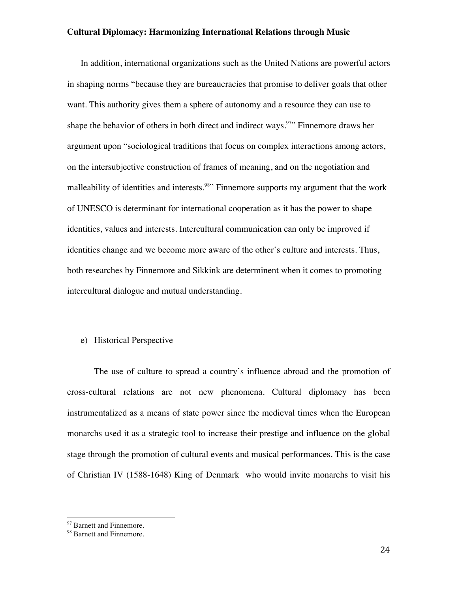In addition, international organizations such as the United Nations are powerful actors in shaping norms "because they are bureaucracies that promise to deliver goals that other want. This authority gives them a sphere of autonomy and a resource they can use to shape the behavior of others in both direct and indirect ways.<sup>97</sup> Finnemore draws her argument upon "sociological traditions that focus on complex interactions among actors, on the intersubjective construction of frames of meaning, and on the negotiation and malleability of identities and interests.<sup>98</sup> Finnemore supports my argument that the work of UNESCO is determinant for international cooperation as it has the power to shape identities, values and interests. Intercultural communication can only be improved if identities change and we become more aware of the other's culture and interests. Thus, both researches by Finnemore and Sikkink are determinent when it comes to promoting intercultural dialogue and mutual understanding.

#### e) Historical Perspective

The use of culture to spread a country's influence abroad and the promotion of cross-cultural relations are not new phenomena. Cultural diplomacy has been instrumentalized as a means of state power since the medieval times when the European monarchs used it as a strategic tool to increase their prestige and influence on the global stage through the promotion of cultural events and musical performances. This is the case of Christian IV (1588-1648) King of Denmark who would invite monarchs to visit his

<sup>&</sup>lt;sup>97</sup> Barnett and Finnemore.

<sup>&</sup>lt;sup>98</sup> Barnett and Finnemore.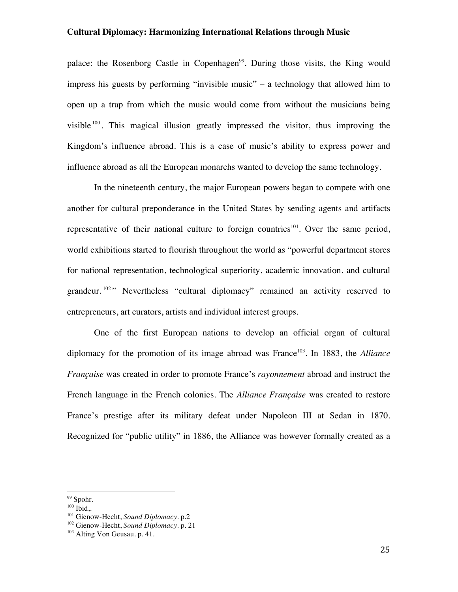palace: the Rosenborg Castle in Copenhagen<sup>99</sup>. During those visits, the King would impress his guests by performing "invisible music" – a technology that allowed him to open up a trap from which the music would come from without the musicians being visible  $100$ . This magical illusion greatly impressed the visitor, thus improving the Kingdom's influence abroad. This is a case of music's ability to express power and influence abroad as all the European monarchs wanted to develop the same technology.

In the nineteenth century, the major European powers began to compete with one another for cultural preponderance in the United States by sending agents and artifacts representative of their national culture to foreign countries<sup>101</sup>. Over the same period, world exhibitions started to flourish throughout the world as "powerful department stores for national representation, technological superiority, academic innovation, and cultural grandeur.<sup>102</sup> " Nevertheless "cultural diplomacy" remained an activity reserved to entrepreneurs, art curators, artists and individual interest groups.

One of the first European nations to develop an official organ of cultural diplomacy for the promotion of its image abroad was France<sup>103</sup>. In 1883, the *Alliance Française* was created in order to promote France's *rayonnement* abroad and instruct the French language in the French colonies. The *Alliance Française* was created to restore France's prestige after its military defeat under Napoleon III at Sedan in 1870. Recognized for "public utility" in 1886, the Alliance was however formally created as a

<sup>&</sup>lt;sup>99</sup> Spohr.

 $100$  Ibid,.

<sup>101</sup> Gienow-Hecht, *Sound Diplomacy*. p.2

<sup>102</sup> Gienow-Hecht, *Sound Diplomacy*. p. 21

<sup>103</sup> Alting Von Geusau. p. 41.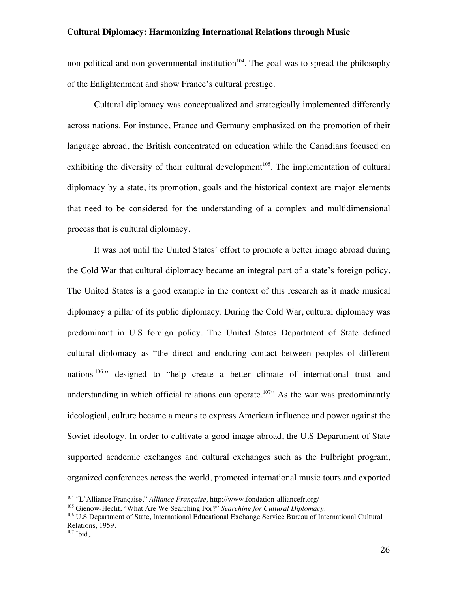non-political and non-governmental institution<sup>104</sup>. The goal was to spread the philosophy of the Enlightenment and show France's cultural prestige.

Cultural diplomacy was conceptualized and strategically implemented differently across nations. For instance, France and Germany emphasized on the promotion of their language abroad, the British concentrated on education while the Canadians focused on exhibiting the diversity of their cultural development<sup>105</sup>. The implementation of cultural diplomacy by a state, its promotion, goals and the historical context are major elements that need to be considered for the understanding of a complex and multidimensional process that is cultural diplomacy.

It was not until the United States' effort to promote a better image abroad during the Cold War that cultural diplomacy became an integral part of a state's foreign policy. The United States is a good example in the context of this research as it made musical diplomacy a pillar of its public diplomacy. During the Cold War, cultural diplomacy was predominant in U.S foreign policy. The United States Department of State defined cultural diplomacy as "the direct and enduring contact between peoples of different nations <sup>106</sup> " designed to "help create a better climate of international trust and understanding in which official relations can operate.<sup>107</sup> As the war was predominantly ideological, culture became a means to express American influence and power against the Soviet ideology. In order to cultivate a good image abroad, the U.S Department of State supported academic exchanges and cultural exchanges such as the Fulbright program, organized conferences across the world, promoted international music tours and exported

<sup>104</sup> "L'Alliance Française," *Alliance Française,* http://www.fondation-alliancefr.org/

<sup>105</sup> Gienow-Hecht, "What Are We Searching For?" *Searching for Cultural Diplomacy.*

<sup>106</sup> U.S Department of State, International Educational Exchange Service Bureau of International Cultural Relations, 1959.

 $107$  Ibid..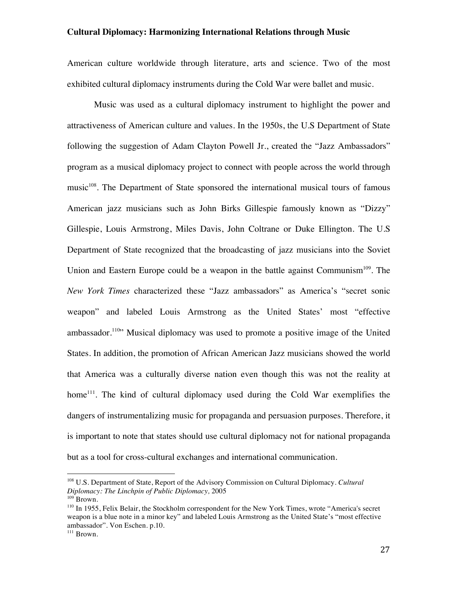American culture worldwide through literature, arts and science. Two of the most exhibited cultural diplomacy instruments during the Cold War were ballet and music.

Music was used as a cultural diplomacy instrument to highlight the power and attractiveness of American culture and values. In the 1950s, the U.S Department of State following the suggestion of Adam Clayton Powell Jr., created the "Jazz Ambassadors" program as a musical diplomacy project to connect with people across the world through music<sup>108</sup>. The Department of State sponsored the international musical tours of famous American jazz musicians such as John Birks Gillespie famously known as "Dizzy" Gillespie, Louis Armstrong, Miles Davis, John Coltrane or Duke Ellington. The U.S Department of State recognized that the broadcasting of jazz musicians into the Soviet Union and Eastern Europe could be a weapon in the battle against Communism<sup>109</sup>. The *New York Times* characterized these "Jazz ambassadors" as America's "secret sonic weapon" and labeled Louis Armstrong as the United States' most "effective ambassador.<sup>110</sup> Musical diplomacy was used to promote a positive image of the United States. In addition, the promotion of African American Jazz musicians showed the world that America was a culturally diverse nation even though this was not the reality at home<sup>111</sup>. The kind of cultural diplomacy used during the Cold War exemplifies the dangers of instrumentalizing music for propaganda and persuasion purposes. Therefore, it is important to note that states should use cultural diplomacy not for national propaganda but as a tool for cross-cultural exchanges and international communication.

<sup>108</sup> U.S. Department of State, Report of the Advisory Commission on Cultural Diplomacy. *Cultural Diplomacy: The Linchpin of Public Diplomacy,* 2005

<sup>&</sup>lt;sup>110</sup> In 1955, Felix Belair, the Stockholm correspondent for the New York Times, wrote "America's secret weapon is a blue note in a minor key" and labeled Louis Armstrong as the United State's "most effective ambassador". Von Eschen. p.10.

<sup>&</sup>lt;sup>111</sup> Brown.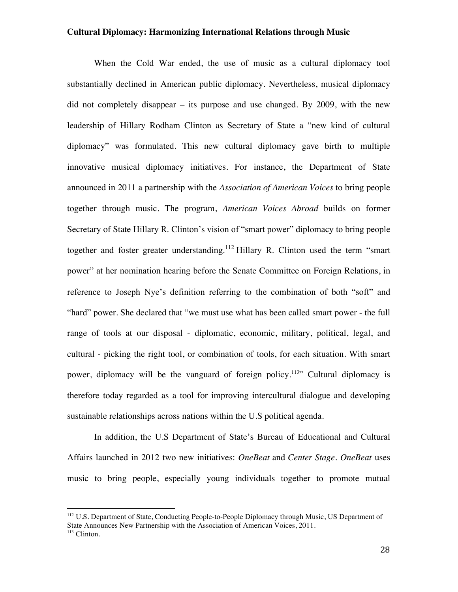When the Cold War ended, the use of music as a cultural diplomacy tool substantially declined in American public diplomacy. Nevertheless, musical diplomacy did not completely disappear – its purpose and use changed. By 2009, with the new leadership of Hillary Rodham Clinton as Secretary of State a "new kind of cultural diplomacy" was formulated. This new cultural diplomacy gave birth to multiple innovative musical diplomacy initiatives. For instance, the Department of State announced in 2011 a partnership with the *Association of American Voices* to bring people together through music. The program, *American Voices Abroad* builds on former Secretary of State Hillary R. Clinton's vision of "smart power" diplomacy to bring people together and foster greater understanding.<sup>112</sup> Hillary R. Clinton used the term "smart" power" at her nomination hearing before the Senate Committee on Foreign Relations, in reference to Joseph Nye's definition referring to the combination of both "soft" and "hard" power. She declared that "we must use what has been called smart power - the full range of tools at our disposal - diplomatic, economic, military, political, legal, and cultural - picking the right tool, or combination of tools, for each situation. With smart power, diplomacy will be the vanguard of foreign policy.<sup>113</sup>" Cultural diplomacy is therefore today regarded as a tool for improving intercultural dialogue and developing sustainable relationships across nations within the U.S political agenda.

In addition, the U.S Department of State's Bureau of Educational and Cultural Affairs launched in 2012 two new initiatives: *OneBeat* and *Center Stage. OneBeat* uses music to bring people, especially young individuals together to promote mutual

<sup>&</sup>lt;sup>112</sup> U.S. Department of State, Conducting People-to-People Diplomacy through Music, US Department of State Announces New Partnership with the Association of American Voices, 2011. <sup>113</sup> Clinton.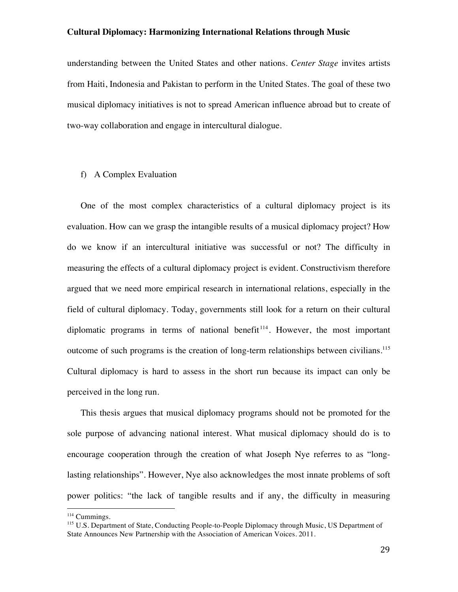understanding between the United States and other nations. *Center Stage* invites artists from Haiti, Indonesia and Pakistan to perform in the United States. The goal of these two musical diplomacy initiatives is not to spread American influence abroad but to create of two-way collaboration and engage in intercultural dialogue.

#### f) A Complex Evaluation

One of the most complex characteristics of a cultural diplomacy project is its evaluation. How can we grasp the intangible results of a musical diplomacy project? How do we know if an intercultural initiative was successful or not? The difficulty in measuring the effects of a cultural diplomacy project is evident. Constructivism therefore argued that we need more empirical research in international relations, especially in the field of cultural diplomacy. Today, governments still look for a return on their cultural diplomatic programs in terms of national benefit<sup> $114$ </sup>. However, the most important outcome of such programs is the creation of long-term relationships between civilians.<sup>115</sup> Cultural diplomacy is hard to assess in the short run because its impact can only be perceived in the long run.

This thesis argues that musical diplomacy programs should not be promoted for the sole purpose of advancing national interest. What musical diplomacy should do is to encourage cooperation through the creation of what Joseph Nye referres to as "longlasting relationships". However, Nye also acknowledges the most innate problems of soft power politics: "the lack of tangible results and if any, the difficulty in measuring

<sup>&</sup>lt;sup>114</sup> Cummings.

<sup>&</sup>lt;sup>115</sup> U.S. Department of State, Conducting People-to-People Diplomacy through Music, US Department of State Announces New Partnership with the Association of American Voices. 2011.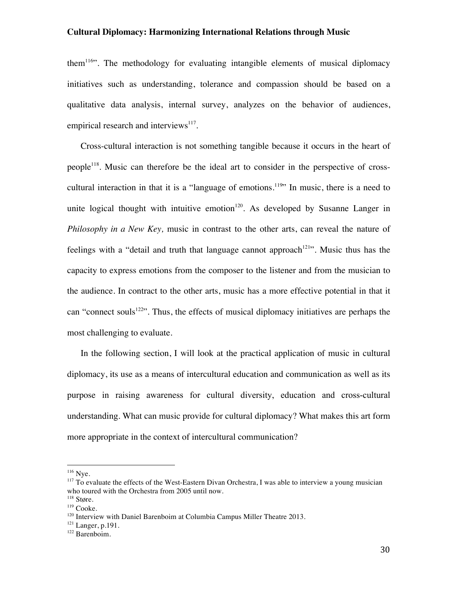them<sup>116</sup>. The methodology for evaluating intangible elements of musical diplomacy initiatives such as understanding, tolerance and compassion should be based on a qualitative data analysis, internal survey, analyzes on the behavior of audiences, empirical research and interviews<sup>117</sup>.

Cross-cultural interaction is not something tangible because it occurs in the heart of people<sup>118</sup>. Music can therefore be the ideal art to consider in the perspective of crosscultural interaction in that it is a "language of emotions.<sup>119</sup>" In music, there is a need to unite logical thought with intuitive emotion $120$ . As developed by Susanne Langer in *Philosophy in a New Key,* music in contrast to the other arts, can reveal the nature of feelings with a "detail and truth that language cannot approach<sup>121</sup>". Music thus has the capacity to express emotions from the composer to the listener and from the musician to the audience. In contract to the other arts, music has a more effective potential in that it can "connect souls<sup>122"</sup>. Thus, the effects of musical diplomacy initiatives are perhaps the most challenging to evaluate.

In the following section, I will look at the practical application of music in cultural diplomacy, its use as a means of intercultural education and communication as well as its purpose in raising awareness for cultural diversity, education and cross-cultural understanding. What can music provide for cultural diplomacy? What makes this art form more appropriate in the context of intercultural communication?

 $116$  Nye.

<sup>&</sup>lt;sup>117</sup> To evaluate the effects of the West-Eastern Divan Orchestra, I was able to interview a young musician who toured with the Orchestra from 2005 until now.

<sup>&</sup>lt;sup>118</sup> Støre.

<sup>&</sup>lt;sup>119</sup> Cooke.

<sup>&</sup>lt;sup>120</sup> Interview with Daniel Barenboim at Columbia Campus Miller Theatre 2013.

<sup>&</sup>lt;sup>121</sup> Langer, p.191.

 $122$  Barenboim.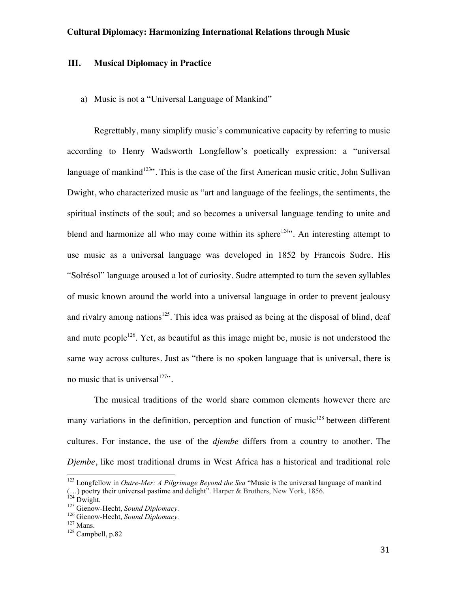# **III. Musical Diplomacy in Practice**

a) Music is not a "Universal Language of Mankind"

Regrettably, many simplify music's communicative capacity by referring to music according to Henry Wadsworth Longfellow's poetically expression: a "universal language of mankind<sup>123"</sup>. This is the case of the first American music critic, John Sullivan Dwight, who characterized music as "art and language of the feelings, the sentiments, the spiritual instincts of the soul; and so becomes a universal language tending to unite and blend and harmonize all who may come within its sphere<sup>124</sup>. An interesting attempt to use music as a universal language was developed in 1852 by Francois Sudre. His "Solrésol" language aroused a lot of curiosity. Sudre attempted to turn the seven syllables of music known around the world into a universal language in order to prevent jealousy and rivalry among nations<sup>125</sup>. This idea was praised as being at the disposal of blind, deaf and mute people<sup>126</sup>. Yet, as beautiful as this image might be, music is not understood the same way across cultures. Just as "there is no spoken language that is universal, there is no music that is universal $127$ .

The musical traditions of the world share common elements however there are many variations in the definition, perception and function of music<sup>128</sup> between different cultures. For instance, the use of the *djembe* differs from a country to another. The *Djembe*, like most traditional drums in West Africa has a historical and traditional role

<sup>&</sup>lt;sup>123</sup> Longfellow in *Outre-Mer: A Pilgrimage Beyond the Sea* "Music is the universal language of mankind (...) poetry their universal pastime and delight<sup>5</sup>. Harper & Brothers, New York, 1856.<br><sup>124</sup> Dwight.<br><sup>125</sup> Gienow-Hecht, *Sound Diplomacy*.<br><sup>126</sup> Gienow-Hecht, *Sound Diplomacy*.<br><sup>127</sup> Mans.<br><sup>128</sup> Campbell, p.82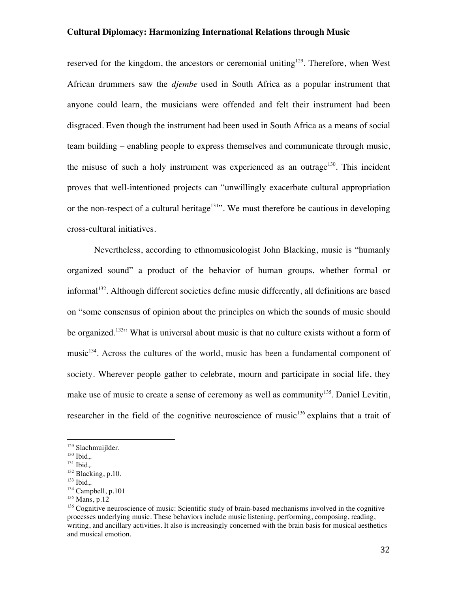reserved for the kingdom, the ancestors or ceremonial uniting<sup>129</sup>. Therefore, when West African drummers saw the *djembe* used in South Africa as a popular instrument that anyone could learn, the musicians were offended and felt their instrument had been disgraced. Even though the instrument had been used in South Africa as a means of social team building – enabling people to express themselves and communicate through music, the misuse of such a holy instrument was experienced as an outrage<sup>130</sup>. This incident proves that well-intentioned projects can "unwillingly exacerbate cultural appropriation or the non-respect of a cultural heritage<sup>131</sup>. We must therefore be cautious in developing cross-cultural initiatives.

Nevertheless, according to ethnomusicologist John Blacking, music is "humanly organized sound" a product of the behavior of human groups, whether formal or informal<sup>132</sup>. Although different societies define music differently, all definitions are based on "some consensus of opinion about the principles on which the sounds of music should be organized.<sup>133</sup> What is universal about music is that no culture exists without a form of music<sup>134</sup>. Across the cultures of the world, music has been a fundamental component of society. Wherever people gather to celebrate, mourn and participate in social life, they make use of music to create a sense of ceremony as well as community<sup>135</sup>. Daniel Levitin, researcher in the field of the cognitive neuroscience of music<sup>136</sup> explains that a trait of

<sup>129</sup> Slachmuijlder.

<sup>&</sup>lt;sup>130</sup> Ibid,.

<sup>&</sup>lt;sup>131</sup> Ibid,.

 $132$  Blacking, p.10. <sup>133</sup> Ibid,.

 $134$  Campbell, p.101

<sup>135</sup> Mans, p.12

<sup>&</sup>lt;sup>136</sup> Cognitive neuroscience of music: Scientific study of brain-based mechanisms involved in the cognitive processes underlying music. These behaviors include music listening, performing, composing, reading, writing, and ancillary activities. It also is increasingly concerned with the brain basis for musical aesthetics and musical emotion.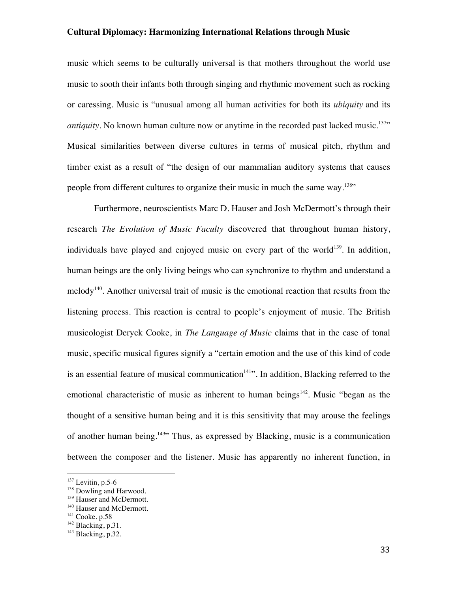music which seems to be culturally universal is that mothers throughout the world use music to sooth their infants both through singing and rhythmic movement such as rocking or caressing. Music is "unusual among all human activities for both its *ubiquity* and its *antiquity*. No known human culture now or anytime in the recorded past lacked music.<sup>137</sup>" Musical similarities between diverse cultures in terms of musical pitch, rhythm and timber exist as a result of "the design of our mammalian auditory systems that causes people from different cultures to organize their music in much the same way.<sup>138</sup>"

Furthermore, neuroscientists Marc D. Hauser and Josh McDermott's through their research *The Evolution of Music Faculty* discovered that throughout human history, individuals have played and enjoyed music on every part of the world<sup>139</sup>. In addition, human beings are the only living beings who can synchronize to rhythm and understand a melody<sup>140</sup>. Another universal trait of music is the emotional reaction that results from the listening process. This reaction is central to people's enjoyment of music. The British musicologist Deryck Cooke, in *The Language of Music* claims that in the case of tonal music, specific musical figures signify a "certain emotion and the use of this kind of code is an essential feature of musical communication<sup> $141$ </sup>. In addition, Blacking referred to the emotional characteristic of music as inherent to human beings<sup>142</sup>. Music "began as the thought of a sensitive human being and it is this sensitivity that may arouse the feelings of another human being.<sup>143</sup> Thus, as expressed by Blacking, music is a communication between the composer and the listener. Music has apparently no inherent function, in

 $137$  Levitin, p.5-6

<sup>&</sup>lt;sup>138</sup> Dowling and Harwood.

<sup>&</sup>lt;sup>139</sup> Hauser and McDermott.

<sup>&</sup>lt;sup>140</sup> Hauser and McDermott.<br><sup>141</sup> Cooke. p.58

 $142$  Blacking, p.31.

 $143$  Blacking, p.32.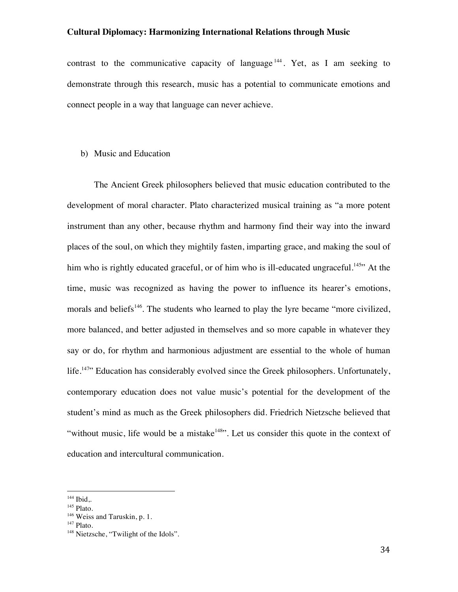contrast to the communicative capacity of language  $144$ . Yet, as I am seeking to demonstrate through this research, music has a potential to communicate emotions and connect people in a way that language can never achieve.

# b) Music and Education

The Ancient Greek philosophers believed that music education contributed to the development of moral character. Plato characterized musical training as "a more potent instrument than any other, because rhythm and harmony find their way into the inward places of the soul, on which they mightily fasten, imparting grace, and making the soul of him who is rightly educated graceful, or of him who is ill-educated ungraceful.<sup>145</sup> At the time, music was recognized as having the power to influence its hearer's emotions, morals and beliefs<sup>146</sup>. The students who learned to play the lyre became "more civilized, more balanced, and better adjusted in themselves and so more capable in whatever they say or do, for rhythm and harmonious adjustment are essential to the whole of human life.<sup>147</sup>" Education has considerably evolved since the Greek philosophers. Unfortunately, contemporary education does not value music's potential for the development of the student's mind as much as the Greek philosophers did. Friedrich Nietzsche believed that "without music, life would be a mistake<sup>148</sup>". Let us consider this quote in the context of education and intercultural communication.

<sup>&</sup>lt;sup>144</sup> Ibid,.

<sup>&</sup>lt;sup>145</sup> Plato.

<sup>&</sup>lt;sup>146</sup> Weiss and Taruskin, p. 1.

<sup>&</sup>lt;sup>147</sup> Plato.

<sup>&</sup>lt;sup>148</sup> Nietzsche, "Twilight of the Idols".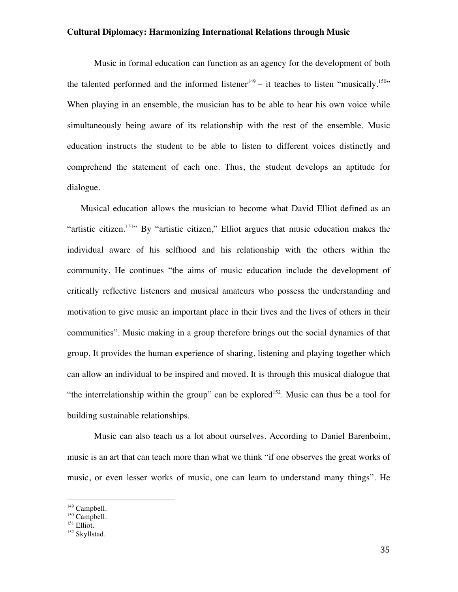Music in formal education can function as an agency for the development of both the talented performed and the informed listener<sup>149</sup> – it teaches to listen "musically.<sup>150</sup>" When playing in an ensemble, the musician has to be able to hear his own voice while simultaneously being aware of its relationship with the rest of the ensemble. Music education instructs the student to be able to listen to different voices distinctly and comprehend the statement of each one. Thus, the student develops an aptitude for dialogue.

Musical education allows the musician to become what David Elliot defined as an "artistic citizen.<sup>151</sup>" By "artistic citizen," Elliot argues that music education makes the individual aware of his selfhood and his relationship with the others within the community. He continues "the aims of music education include the development of critically reflective listeners and musical amateurs who possess the understanding and motivation to give music an important place in their lives and the lives of others in their communities". Music making in a group therefore brings out the social dynamics of that group. It provides the human experience of sharing, listening and playing together which can allow an individual to be inspired and moved. It is through this musical dialogue that "the interrelationship within the group" can be explored<sup>152</sup>. Music can thus be a tool for building sustainable relationships.

Music can also teach us a lot about ourselves. According to Daniel Barenboim, music is an art that can teach more than what we think "if one observes the great works of music, or even lesser works of music, one can learn to understand many things". He

<sup>&</sup>lt;sup>149</sup> Campbell.

 $150$  Campbell.

<sup>&</sup>lt;sup>151</sup> Elliot.

<sup>&</sup>lt;sup>152</sup> Skyllstad.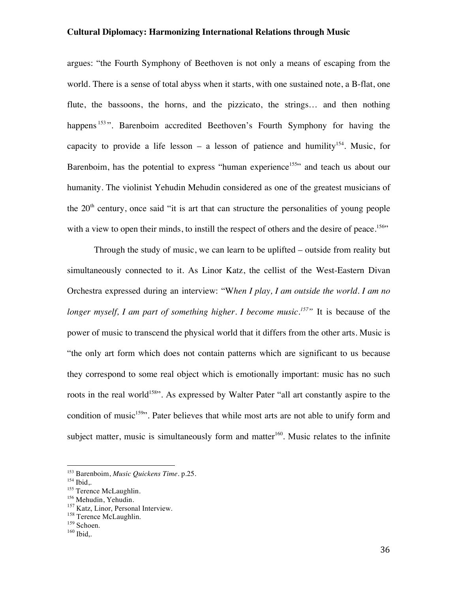argues: "the Fourth Symphony of Beethoven is not only a means of escaping from the world. There is a sense of total abyss when it starts, with one sustained note, a B-flat, one flute, the bassoons, the horns, and the pizzicato, the strings… and then nothing happens<sup>153</sup>". Barenboim accredited Beethoven's Fourth Symphony for having the capacity to provide a life lesson – a lesson of patience and humility<sup>154</sup>. Music, for Barenboim, has the potential to express "human experience<sup>155</sup>" and teach us about our humanity. The violinist Yehudin Mehudin considered as one of the greatest musicians of the  $20<sup>th</sup>$  century, once said "it is art that can structure the personalities of young people with a view to open their minds, to instill the respect of others and the desire of peace.<sup>156</sup>"

Through the study of music, we can learn to be uplifted – outside from reality but simultaneously connected to it. As Linor Katz, the cellist of the West-Eastern Divan Orchestra expressed during an interview: "W*hen I play, I am outside the world. I am no longer myself, I am part of something higher. I become music.157"* It is because of the power of music to transcend the physical world that it differs from the other arts. Music is "the only art form which does not contain patterns which are significant to us because they correspond to some real object which is emotionally important: music has no such roots in the real world<sup>158</sup>". As expressed by Walter Pater "all art constantly aspire to the condition of music<sup>159</sup>". Pater believes that while most arts are not able to unify form and subject matter, music is simultaneously form and matter<sup>160</sup>. Music relates to the infinite

<sup>153</sup> Barenboim, *Music Quickens Time.* p.25.

 $154$  Ibid,.

<sup>&</sup>lt;sup>155</sup> Terence McLaughlin.<br><sup>156</sup> Mehudin, Yehudin.

<sup>&</sup>lt;sup>157</sup> Katz, Linor, Personal Interview.<br><sup>158</sup> Terence McLaughlin.<br><sup>159</sup> Schoen.<br><sup>160</sup> Ibid..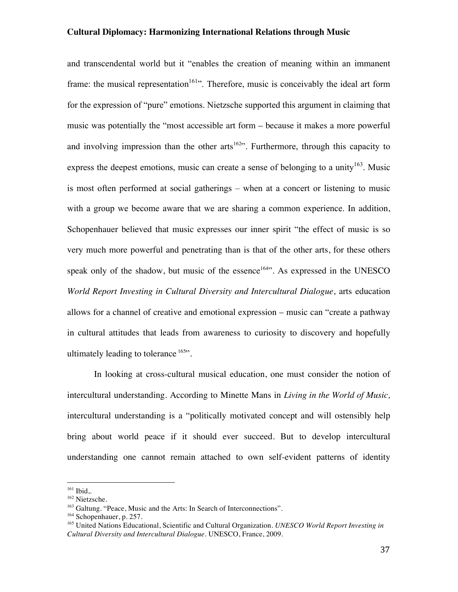and transcendental world but it "enables the creation of meaning within an immanent frame: the musical representation<sup>161</sup>". Therefore, music is conceivably the ideal art form for the expression of "pure" emotions. Nietzsche supported this argument in claiming that music was potentially the "most accessible art form – because it makes a more powerful and involving impression than the other arts<sup>162</sup>". Furthermore, through this capacity to express the deepest emotions, music can create a sense of belonging to a unity<sup>163</sup>. Music is most often performed at social gatherings – when at a concert or listening to music with a group we become aware that we are sharing a common experience. In addition, Schopenhauer believed that music expresses our inner spirit "the effect of music is so very much more powerful and penetrating than is that of the other arts, for these others speak only of the shadow, but music of the essence<sup>164</sup>. As expressed in the UNESCO *World Report Investing in Cultural Diversity and Intercultural Dialogue*, arts education allows for a channel of creative and emotional expression – music can "create a pathway in cultural attitudes that leads from awareness to curiosity to discovery and hopefully ultimately leading to tolerance <sup>165</sup>".

In looking at cross-cultural musical education, one must consider the notion of intercultural understanding. According to Minette Mans in *Living in the World of Music,* intercultural understanding is a "politically motivated concept and will ostensibly help bring about world peace if it should ever succeed. But to develop intercultural understanding one cannot remain attached to own self-evident patterns of identity

<sup>&</sup>lt;sup>161</sup> Ibid,.

<sup>162</sup> Nietzsche.

<sup>&</sup>lt;sup>163</sup> Galtung. "Peace, Music and the Arts: In Search of Interconnections".<br><sup>164</sup> Schopenhauer, p. 257.

<sup>&</sup>lt;sup>165</sup> United Nations Educational, Scientific and Cultural Organization. *UNESCO World Report Investing in Cultural Diversity and Intercultural Dialogue.* UNESCO, France, 2009.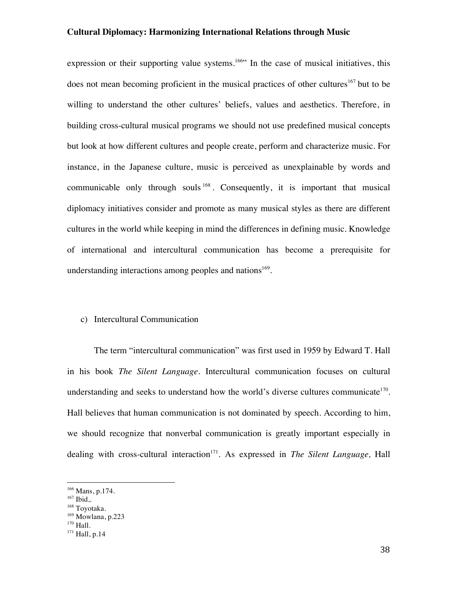expression or their supporting value systems.<sup>166</sup> In the case of musical initiatives, this does not mean becoming proficient in the musical practices of other cultures<sup>167</sup> but to be willing to understand the other cultures' beliefs, values and aesthetics. Therefore, in building cross-cultural musical programs we should not use predefined musical concepts but look at how different cultures and people create, perform and characterize music. For instance, in the Japanese culture, music is perceived as unexplainable by words and communicable only through souls <sup>168</sup>. Consequently, it is important that musical diplomacy initiatives consider and promote as many musical styles as there are different cultures in the world while keeping in mind the differences in defining music. Knowledge of international and intercultural communication has become a prerequisite for understanding interactions among peoples and nations<sup>169</sup>.

#### c) Intercultural Communication

The term "intercultural communication" was first used in 1959 by Edward T. Hall in his book *The Silent Language*. Intercultural communication focuses on cultural understanding and seeks to understand how the world's diverse cultures communicate<sup>170</sup>. Hall believes that human communication is not dominated by speech. According to him, we should recognize that nonverbal communication is greatly important especially in dealing with cross-cultural interaction<sup>171</sup>. As expressed in *The Silent Language*, Hall

<sup>166</sup> Mans, p.174.

<sup>&</sup>lt;sup>167</sup> Ibid,.

<sup>168</sup> Toyotaka.

 $169$  Mowlana, p.223 <sup>170</sup> Hall.

<sup>&</sup>lt;sup>171</sup> Hall, p.14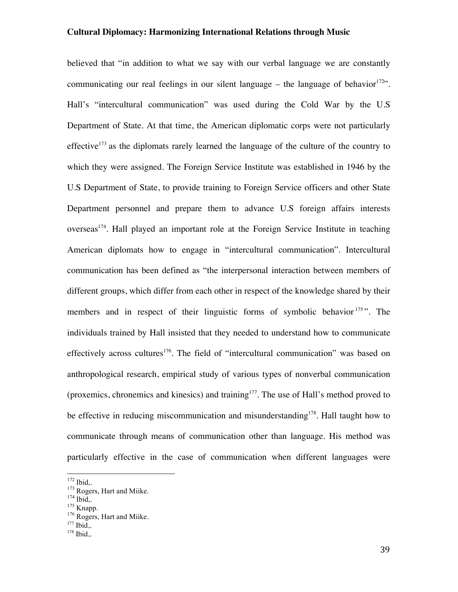believed that "in addition to what we say with our verbal language we are constantly communicating our real feelings in our silent language – the language of behavior<sup>172</sup>. Hall's "intercultural communication" was used during the Cold War by the U.S Department of State. At that time, the American diplomatic corps were not particularly effective<sup>173</sup> as the diplomats rarely learned the language of the culture of the country to which they were assigned. The Foreign Service Institute was established in 1946 by the U.S Department of State, to provide training to Foreign Service officers and other State Department personnel and prepare them to advance U.S foreign affairs interests overseas<sup>174</sup>. Hall played an important role at the Foreign Service Institute in teaching American diplomats how to engage in "intercultural communication". Intercultural communication has been defined as "the interpersonal interaction between members of different groups, which differ from each other in respect of the knowledge shared by their members and in respect of their linguistic forms of symbolic behavior  $175$ ". The individuals trained by Hall insisted that they needed to understand how to communicate effectively across cultures<sup>176</sup>. The field of "intercultural communication" was based on anthropological research, empirical study of various types of nonverbal communication (proxemics, chronemics and kinesics) and training<sup>177</sup>. The use of Hall's method proved to be effective in reducing miscommunication and misunderstanding<sup>178</sup>. Hall taught how to communicate through means of communication other than language. His method was particularly effective in the case of communication when different languages were

<sup>&</sup>lt;sup>172</sup> Ibid,.<br><sup>173</sup> Rogers, Hart and Miike.<br><sup>174</sup> Ibid,. <sup>175</sup> Knapp. <sup>176</sup> Rogers, Hart and Miike.

<sup>&</sup>lt;sup>177</sup> Ibid,.

<sup>&</sup>lt;sup>178</sup> Ibid,.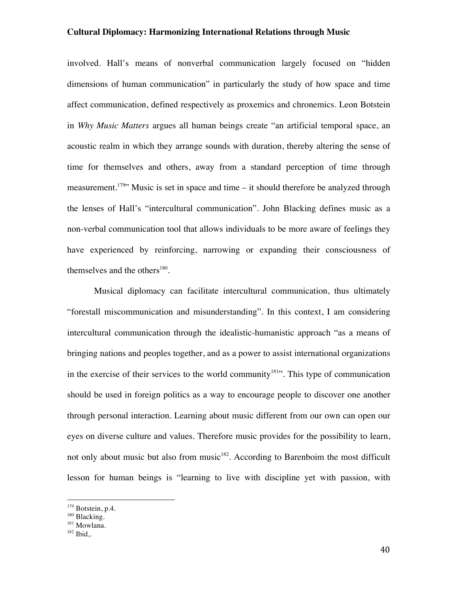involved. Hall's means of nonverbal communication largely focused on "hidden dimensions of human communication" in particularly the study of how space and time affect communication, defined respectively as proxemics and chronemics. Leon Botstein in *Why Music Matters* argues all human beings create "an artificial temporal space, an acoustic realm in which they arrange sounds with duration, thereby altering the sense of time for themselves and others, away from a standard perception of time through measurement.<sup>179</sup> Music is set in space and time – it should therefore be analyzed through the lenses of Hall's "intercultural communication". John Blacking defines music as a non-verbal communication tool that allows individuals to be more aware of feelings they have experienced by reinforcing, narrowing or expanding their consciousness of themselves and the others $180$ .

Musical diplomacy can facilitate intercultural communication, thus ultimately "forestall miscommunication and misunderstanding". In this context, I am considering intercultural communication through the idealistic-humanistic approach "as a means of bringing nations and peoples together, and as a power to assist international organizations in the exercise of their services to the world community<sup>181</sup>. This type of communication should be used in foreign politics as a way to encourage people to discover one another through personal interaction. Learning about music different from our own can open our eyes on diverse culture and values. Therefore music provides for the possibility to learn, not only about music but also from music<sup>182</sup>. According to Barenboim the most difficult lesson for human beings is "learning to live with discipline yet with passion, with

<sup>&</sup>lt;sup>179</sup> Botstein, p.4.

<sup>&</sup>lt;sup>180</sup> Blacking.

<sup>&</sup>lt;sup>181</sup> Mowlana.

 $182$  Ibid...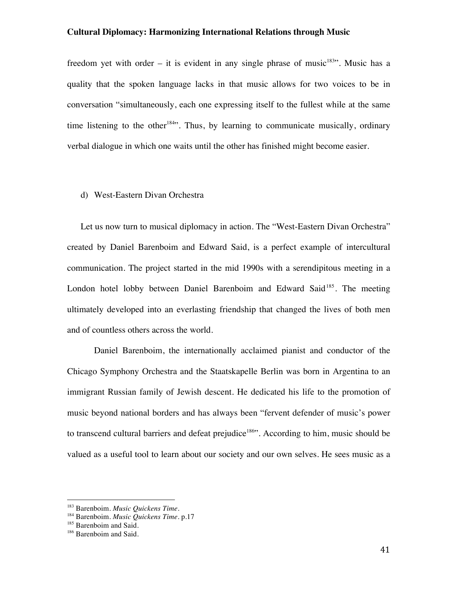freedom yet with order – it is evident in any single phrase of music<sup>183</sup>". Music has a quality that the spoken language lacks in that music allows for two voices to be in conversation "simultaneously, each one expressing itself to the fullest while at the same time listening to the other<sup>184</sup>. Thus, by learning to communicate musically, ordinary verbal dialogue in which one waits until the other has finished might become easier.

#### d) West-Eastern Divan Orchestra

Let us now turn to musical diplomacy in action. The "West-Eastern Divan Orchestra" created by Daniel Barenboim and Edward Said, is a perfect example of intercultural communication. The project started in the mid 1990s with a serendipitous meeting in a London hotel lobby between Daniel Barenboim and Edward Said<sup>185</sup>. The meeting ultimately developed into an everlasting friendship that changed the lives of both men and of countless others across the world.

Daniel Barenboim, the internationally acclaimed pianist and conductor of the Chicago Symphony Orchestra and the Staatskapelle Berlin was born in Argentina to an immigrant Russian family of Jewish descent. He dedicated his life to the promotion of music beyond national borders and has always been "fervent defender of music's power to transcend cultural barriers and defeat prejudice $186$ . According to him, music should be valued as a useful tool to learn about our society and our own selves. He sees music as a

<sup>!!!!!!!!!!!!!!!!!!!!!!!!!!!!!!!!!!!!!!!!!!!!!!!!!!!!!!!</sup> <sup>183</sup> Barenboim. *Music Quickens Time*.

<sup>184</sup> Barenboim. *Music Quickens Time*. p.17

<sup>&</sup>lt;sup>185</sup> Barenboim and Said.

<sup>&</sup>lt;sup>186</sup> Barenboim and Said.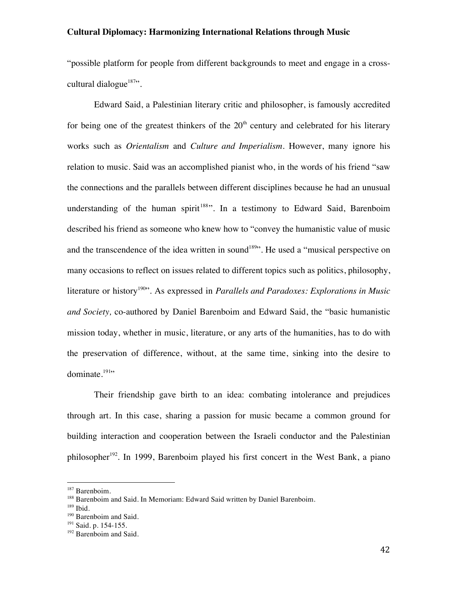"possible platform for people from different backgrounds to meet and engage in a crosscultural dialogue $187$ ".

Edward Said, a Palestinian literary critic and philosopher, is famously accredited for being one of the greatest thinkers of the  $20<sup>th</sup>$  century and celebrated for his literary works such as *Orientalism* and *Culture and Imperialism*. However, many ignore his relation to music. Said was an accomplished pianist who, in the words of his friend "saw the connections and the parallels between different disciplines because he had an unusual understanding of the human spirit<sup>188</sup>". In a testimony to Edward Said, Barenboim described his friend as someone who knew how to "convey the humanistic value of music and the transcendence of the idea written in sound<sup>189</sup>". He used a "musical perspective on many occasions to reflect on issues related to different topics such as politics, philosophy, literature or history<sup>190</sup><sup>30</sup>. As expressed in *Parallels and Paradoxes: Explorations in Music and Society,* co-authored by Daniel Barenboim and Edward Said, the "basic humanistic mission today, whether in music, literature, or any arts of the humanities, has to do with the preservation of difference, without, at the same time, sinking into the desire to dominate. $191$ 

Their friendship gave birth to an idea: combating intolerance and prejudices through art. In this case, sharing a passion for music became a common ground for building interaction and cooperation between the Israeli conductor and the Palestinian philosopher<sup>192</sup>. In 1999, Barenboim played his first concert in the West Bank, a piano

<sup>&</sup>lt;sup>187</sup> Barenboim.

<sup>&</sup>lt;sup>188</sup> Barenboim and Said. In Memoriam: Edward Said written by Daniel Barenboim.

 $189$  Ibid.

<sup>&</sup>lt;sup>190</sup> Barenboim and Said.

<sup>&</sup>lt;sup>191</sup> Said. p. 154-155.

<sup>&</sup>lt;sup>192</sup> Barenboim and Said.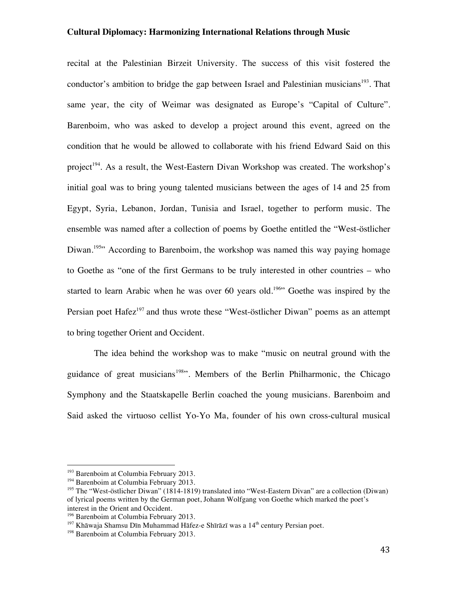recital at the Palestinian Birzeit University. The success of this visit fostered the conductor's ambition to bridge the gap between Israel and Palestinian musicians<sup>193</sup>. That same year, the city of Weimar was designated as Europe's "Capital of Culture". Barenboim, who was asked to develop a project around this event, agreed on the condition that he would be allowed to collaborate with his friend Edward Said on this project<sup>194</sup>. As a result, the West-Eastern Divan Workshop was created. The workshop's initial goal was to bring young talented musicians between the ages of 14 and 25 from Egypt, Syria, Lebanon, Jordan, Tunisia and Israel, together to perform music. The ensemble was named after a collection of poems by Goethe entitled the "West-östlicher Diwan.<sup>195</sup> According to Barenboim, the workshop was named this way paying homage to Goethe as "one of the first Germans to be truly interested in other countries – who started to learn Arabic when he was over 60 years old.<sup>196</sup> Goethe was inspired by the Persian poet Hafez<sup>197</sup> and thus wrote these "West-östlicher Diwan" poems as an attempt to bring together Orient and Occident.

The idea behind the workshop was to make "music on neutral ground with the guidance of great musicians<sup>198</sup>". Members of the Berlin Philharmonic, the Chicago Symphony and the Staatskapelle Berlin coached the young musicians. Barenboim and Said asked the virtuoso cellist Yo-Yo Ma, founder of his own cross-cultural musical

<sup>&</sup>lt;sup>193</sup> Barenboim at Columbia February 2013.

<sup>&</sup>lt;sup>194</sup> Barenboim at Columbia February 2013.

<sup>&</sup>lt;sup>195</sup> The "West-östlicher Diwan" (1814-1819) translated into "West-Eastern Divan" are a collection (Diwan) of lyrical poems written by the German poet, Johann Wolfgang von Goethe which marked the poet's interest in the Orient and Occident.

<sup>&</sup>lt;sup>196</sup> Barenboim at Columbia February 2013.

 $197$  Khāwaja Shamsu Dīn Muhammad Hāfez-e Shīrāzī was a  $14<sup>th</sup>$  century Persian poet.

<sup>&</sup>lt;sup>198</sup> Barenboim at Columbia February 2013.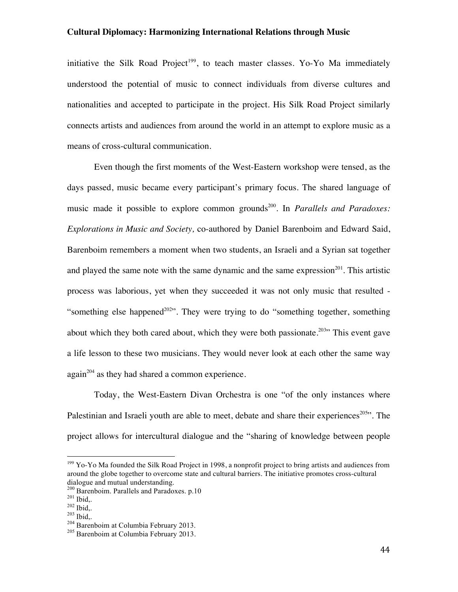initiative the Silk Road Project<sup>199</sup>, to teach master classes. Yo-Yo Ma immediately understood the potential of music to connect individuals from diverse cultures and nationalities and accepted to participate in the project. His Silk Road Project similarly connects artists and audiences from around the world in an attempt to explore music as a means of cross-cultural communication.

Even though the first moments of the West-Eastern workshop were tensed, as the days passed, music became every participant's primary focus. The shared language of music made it possible to explore common grounds<sup>200</sup>. In *Parallels and Paradoxes: Explorations in Music and Society,* co-authored by Daniel Barenboim and Edward Said, Barenboim remembers a moment when two students, an Israeli and a Syrian sat together and played the same note with the same dynamic and the same expression<sup>201</sup>. This artistic process was laborious, yet when they succeeded it was not only music that resulted - "something else happened<sup>202"</sup>. They were trying to do "something together, something about which they both cared about, which they were both passionate.<sup>203</sup> This event gave a life lesson to these two musicians. They would never look at each other the same way  $again^{204}$  as they had shared a common experience.

Today, the West-Eastern Divan Orchestra is one "of the only instances where Palestinian and Israeli youth are able to meet, debate and share their experiences<sup>205</sup><sup>1</sup>. The project allows for intercultural dialogue and the "sharing of knowledge between people

<sup>199</sup> Yo-Yo Ma founded the Silk Road Project in 1998, a nonprofit project to bring artists and audiences from around the globe together to overcome state and cultural barriers. The initiative promotes cross-cultural dialogue and mutual understanding.

<sup>&</sup>lt;sup>200</sup> Barenboim. Parallels and Paradoxes. p.10<br><sup>201</sup> Ibid,.<br><sup>202</sup> Ibid,. <sup>203</sup> Ibid,. <sup>204</sup> Barenboim at Columbia February 2013.

<sup>205</sup> Barenboim at Columbia February 2013.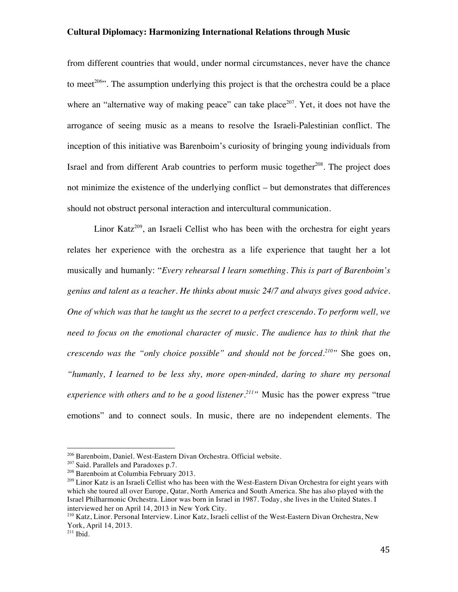from different countries that would, under normal circumstances, never have the chance to meet<sup>206</sup>. The assumption underlying this project is that the orchestra could be a place where an "alternative way of making peace" can take place<sup>207</sup>. Yet, it does not have the arrogance of seeing music as a means to resolve the Israeli-Palestinian conflict. The inception of this initiative was Barenboim's curiosity of bringing young individuals from Israel and from different Arab countries to perform music together<sup> $208$ </sup>. The project does not minimize the existence of the underlying conflict – but demonstrates that differences should not obstruct personal interaction and intercultural communication.

Linor Katz<sup>209</sup>, an Israeli Cellist who has been with the orchestra for eight years relates her experience with the orchestra as a life experience that taught her a lot musically and humanly: "*Every rehearsal I learn something. This is part of Barenboim's genius and talent as a teacher. He thinks about music 24/7 and always gives good advice. One of which was that he taught us the secret to a perfect crescendo. To perform well, we need to focus on the emotional character of music. The audience has to think that the crescendo was the "only choice possible" and should not be forced.210"* She goes on, *"humanly, I learned to be less shy, more open-minded, daring to share my personal experience with others and to be a good listener.211"* Music has the power express "true emotions" and to connect souls. In music, there are no independent elements. The

<sup>206</sup> Barenboim, Daniel. West-Eastern Divan Orchestra. Official website.

<sup>&</sup>lt;sup>207</sup> Said. Parallels and Paradoxes p.7.

<sup>208</sup> Barenboim at Columbia February 2013.

<sup>&</sup>lt;sup>209</sup> Linor Katz is an Israeli Cellist who has been with the West-Eastern Divan Orchestra for eight years with which she toured all over Europe, Qatar, North America and South America. She has also played with the Israel Philharmonic Orchestra. Linor was born in Israel in 1987. Today, she lives in the United States. I interviewed her on April 14, 2013 in New York City.

<sup>210</sup> Katz, Linor. Personal Interview. Linor Katz, Israeli cellist of the West-Eastern Divan Orchestra, New York, April 14, 2013.

 $211$  Ibid.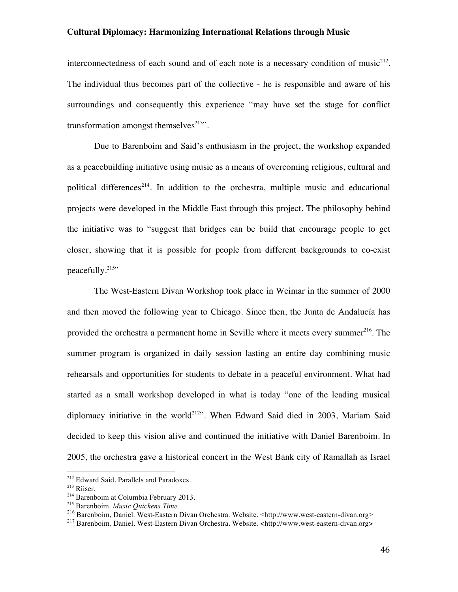interconnectedness of each sound and of each note is a necessary condition of music $2^{12}$ . The individual thus becomes part of the collective - he is responsible and aware of his surroundings and consequently this experience "may have set the stage for conflict transformation amongst themselves $^{213}$ .

Due to Barenboim and Said's enthusiasm in the project, the workshop expanded as a peacebuilding initiative using music as a means of overcoming religious, cultural and political differences<sup>214</sup>. In addition to the orchestra, multiple music and educational projects were developed in the Middle East through this project. The philosophy behind the initiative was to "suggest that bridges can be build that encourage people to get closer, showing that it is possible for people from different backgrounds to co-exist peacefully. $215$ "

The West-Eastern Divan Workshop took place in Weimar in the summer of 2000 and then moved the following year to Chicago. Since then, the Junta de Andalucía has provided the orchestra a permanent home in Seville where it meets every summer $^{216}$ . The summer program is organized in daily session lasting an entire day combining music rehearsals and opportunities for students to debate in a peaceful environment. What had started as a small workshop developed in what is today "one of the leading musical diplomacy initiative in the world<sup>217</sup>". When Edward Said died in 2003, Mariam Said decided to keep this vision alive and continued the initiative with Daniel Barenboim. In 2005, the orchestra gave a historical concert in the West Bank city of Ramallah as Israel

<sup>&</sup>lt;sup>212</sup> Edward Said. Parallels and Paradoxes.

<sup>213</sup> Riiser.

<sup>&</sup>lt;sup>214</sup> Barenboim at Columbia February 2013.<br><sup>215</sup> Barenboim. *Music Quickens Time*.

<sup>&</sup>lt;sup>216</sup> Barenboim, Daniel. West-Eastern Divan Orchestra. Website. <http://www.west-eastern-divan.org>

<sup>217</sup> Barenboim, Daniel. West-Eastern Divan Orchestra. Website. <http://www.west-eastern-divan.org>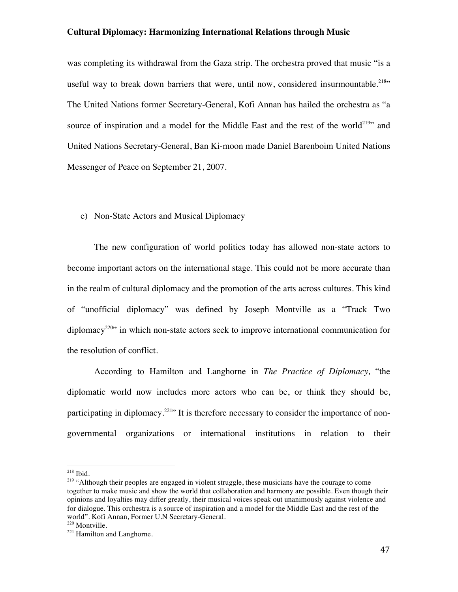was completing its withdrawal from the Gaza strip. The orchestra proved that music "is a useful way to break down barriers that were, until now, considered insurmountable.<sup>218</sup>" The United Nations former Secretary-General, Kofi Annan has hailed the orchestra as "a source of inspiration and a model for the Middle East and the rest of the world<sup>219</sup>" and United Nations Secretary-General, Ban Ki-moon made Daniel Barenboim United Nations Messenger of Peace on September 21, 2007.

#### e) Non-State Actors and Musical Diplomacy

The new configuration of world politics today has allowed non-state actors to become important actors on the international stage. This could not be more accurate than in the realm of cultural diplomacy and the promotion of the arts across cultures. This kind of "unofficial diplomacy" was defined by Joseph Montville as a "Track Two diplomacy<sup>220</sup>" in which non-state actors seek to improve international communication for the resolution of conflict.

According to Hamilton and Langhorne in *The Practice of Diplomacy,* "the diplomatic world now includes more actors who can be, or think they should be, participating in diplomacy.<sup>221</sup> It is therefore necessary to consider the importance of nongovernmental organizations or international institutions in relation to their

<sup>218</sup> Ibid.

<sup>&</sup>lt;sup>219</sup> "Although their peoples are engaged in violent struggle, these musicians have the courage to come together to make music and show the world that collaboration and harmony are possible. Even though their opinions and loyalties may differ greatly, their musical voices speak out unanimously against violence and for dialogue. This orchestra is a source of inspiration and a model for the Middle East and the rest of the world". Kofi Annan, Former U.N Secretary-General.

 $221$  Hamilton and Langhorne.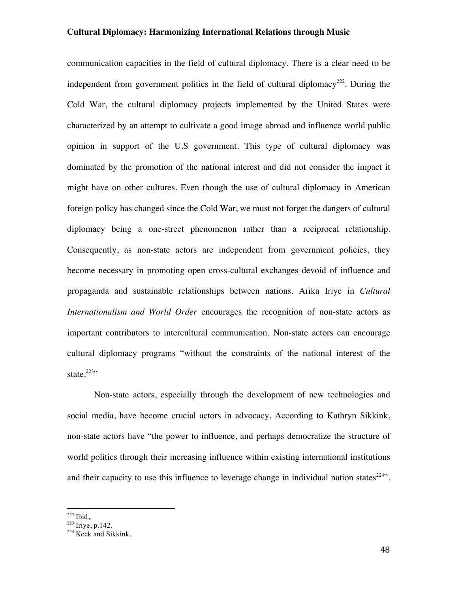communication capacities in the field of cultural diplomacy. There is a clear need to be independent from government politics in the field of cultural diplomacy<sup>222</sup>. During the Cold War, the cultural diplomacy projects implemented by the United States were characterized by an attempt to cultivate a good image abroad and influence world public opinion in support of the U.S government. This type of cultural diplomacy was dominated by the promotion of the national interest and did not consider the impact it might have on other cultures. Even though the use of cultural diplomacy in American foreign policy has changed since the Cold War, we must not forget the dangers of cultural diplomacy being a one-street phenomenon rather than a reciprocal relationship. Consequently, as non-state actors are independent from government policies, they become necessary in promoting open cross-cultural exchanges devoid of influence and propaganda and sustainable relationships between nations. Arika Iriye in *Cultural Internationalism and World Order* encourages the recognition of non-state actors as important contributors to intercultural communication. Non-state actors can encourage cultural diplomacy programs "without the constraints of the national interest of the state. $223$ "

Non-state actors, especially through the development of new technologies and social media, have become crucial actors in advocacy. According to Kathryn Sikkink, non-state actors have "the power to influence, and perhaps democratize the structure of world politics through their increasing influence within existing international institutions and their capacity to use this influence to leverage change in individual nation states<sup> $224$ </sup>.

 $222$  Ibid,.

<sup>223</sup> Iriye, p.142.

<sup>&</sup>lt;sup>224</sup> Keck and Sikkink.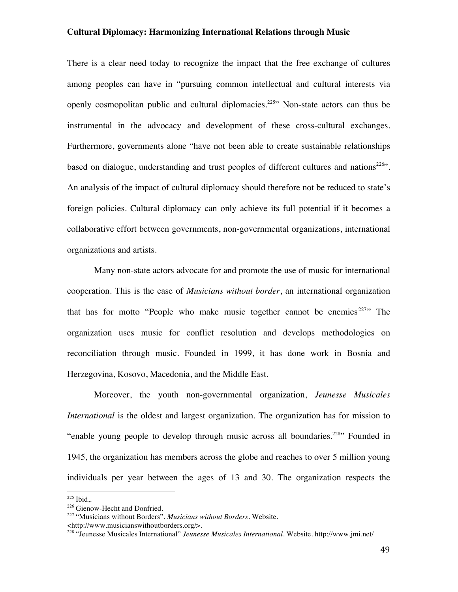There is a clear need today to recognize the impact that the free exchange of cultures among peoples can have in "pursuing common intellectual and cultural interests via openly cosmopolitan public and cultural diplomacies.<sup>225</sup> Non-state actors can thus be instrumental in the advocacy and development of these cross-cultural exchanges. Furthermore, governments alone "have not been able to create sustainable relationships based on dialogue, understanding and trust peoples of different cultures and nations<sup>226</sup>". An analysis of the impact of cultural diplomacy should therefore not be reduced to state's foreign policies. Cultural diplomacy can only achieve its full potential if it becomes a collaborative effort between governments, non-governmental organizations, international organizations and artists.

Many non-state actors advocate for and promote the use of music for international cooperation. This is the case of *Musicians without border*, an international organization that has for motto "People who make music together cannot be enemies  $227$ " The organization uses music for conflict resolution and develops methodologies on reconciliation through music. Founded in 1999, it has done work in Bosnia and Herzegovina, Kosovo, Macedonia, and the Middle East.

Moreover, the youth non-governmental organization, *Jeunesse Musicales International* is the oldest and largest organization. The organization has for mission to "enable young people to develop through music across all boundaries.<sup>228</sup> Founded in 1945, the organization has members across the globe and reaches to over 5 million young individuals per year between the ages of 13 and 30. The organization respects the

 $225$  Ibid,.

<sup>&</sup>lt;sup>226</sup> Gienow-Hecht and Donfried.

<sup>227</sup> "Musicians without Borders". *Musicians without Borders*. Website.

<sup>&</sup>lt;http://www.musicianswithoutborders.org/>.

<sup>228</sup> "Jeunesse Musicales International" *Jeunesse Musicales International.* Website. http://www.jmi.net/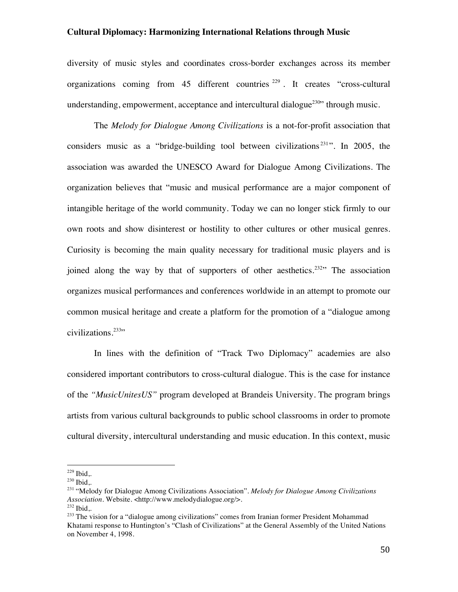diversity of music styles and coordinates cross-border exchanges across its member organizations coming from 45 different countries <sup>229</sup> . It creates "cross-cultural understanding, empowerment, acceptance and intercultural dialogue<sup>230</sup> through music.

The *Melody for Dialogue Among Civilizations* is a not-for-profit association that considers music as a "bridge-building tool between civilizations<sup> $231$ </sup>". In 2005, the association was awarded the UNESCO Award for Dialogue Among Civilizations. The organization believes that "music and musical performance are a major component of intangible heritage of the world community. Today we can no longer stick firmly to our own roots and show disinterest or hostility to other cultures or other musical genres. Curiosity is becoming the main quality necessary for traditional music players and is joined along the way by that of supporters of other aesthetics.<sup>232</sup>" The association organizes musical performances and conferences worldwide in an attempt to promote our common musical heritage and create a platform for the promotion of a "dialogue among civilizations.<sup>233</sup>"

In lines with the definition of "Track Two Diplomacy" academies are also considered important contributors to cross-cultural dialogue. This is the case for instance of the *"MusicUnitesUS"* program developed at Brandeis University. The program brings artists from various cultural backgrounds to public school classrooms in order to promote cultural diversity, intercultural understanding and music education. In this context, music

 $229$  Ibid,.

<sup>230</sup> Ibid,.

<sup>231</sup> "Melody for Dialogue Among Civilizations Association". *Melody for Dialogue Among Civilizations Association*. Website. <http://www.melodydialogue.org/>.  $^{232}$  Ibid..

<sup>&</sup>lt;sup>233</sup> The vision for a "dialogue among civilizations" comes from Iranian former President Mohammad Khatami response to Huntington's "Clash of Civilizations" at the General Assembly of the United Nations on November 4, 1998.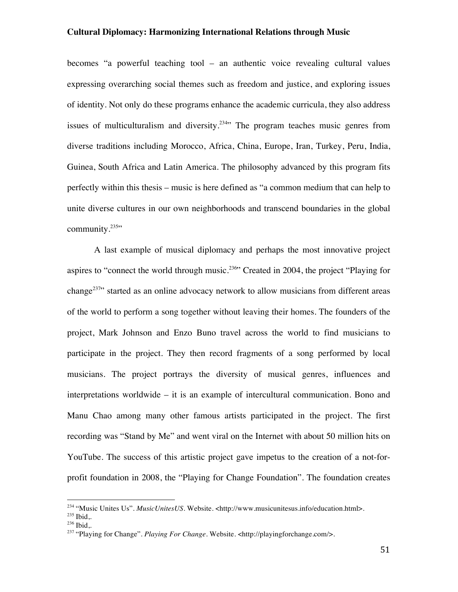becomes "a powerful teaching tool – an authentic voice revealing cultural values expressing overarching social themes such as freedom and justice, and exploring issues of identity. Not only do these programs enhance the academic curricula, they also address issues of multiculturalism and diversity.<sup>234</sup> The program teaches music genres from diverse traditions including Morocco, Africa, China, Europe, Iran, Turkey, Peru, India, Guinea, South Africa and Latin America. The philosophy advanced by this program fits perfectly within this thesis – music is here defined as "a common medium that can help to unite diverse cultures in our own neighborhoods and transcend boundaries in the global community. $235$ "

A last example of musical diplomacy and perhaps the most innovative project aspires to "connect the world through music.<sup>236</sup>" Created in 2004, the project "Playing for change<sup>237</sup> started as an online advocacy network to allow musicians from different areas of the world to perform a song together without leaving their homes. The founders of the project, Mark Johnson and Enzo Buno travel across the world to find musicians to participate in the project. They then record fragments of a song performed by local musicians. The project portrays the diversity of musical genres, influences and interpretations worldwide – it is an example of intercultural communication. Bono and Manu Chao among many other famous artists participated in the project. The first recording was "Stand by Me" and went viral on the Internet with about 50 million hits on YouTube. The success of this artistic project gave impetus to the creation of a not-forprofit foundation in 2008, the "Playing for Change Foundation". The foundation creates

<sup>234</sup> "Music Unites Us". *MusicUnitesUS*. Website. <http://www.musicunitesus.info/education.html>.

 $^{235}$  Ibid..

 $236$  Ibid..

<sup>237</sup> "Playing for Change". *Playing For Change*. Website. <http://playingforchange.com/>.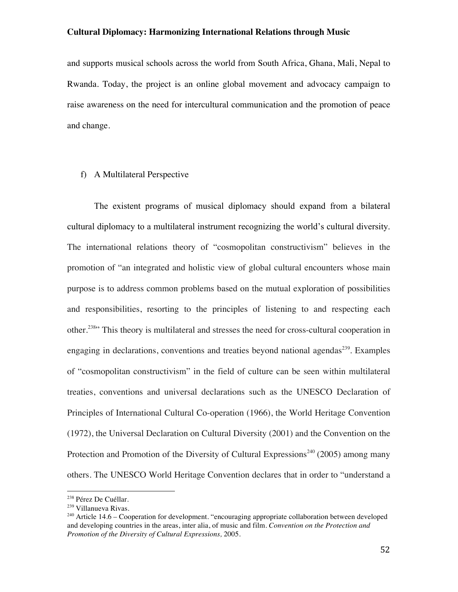and supports musical schools across the world from South Africa, Ghana, Mali, Nepal to Rwanda. Today, the project is an online global movement and advocacy campaign to raise awareness on the need for intercultural communication and the promotion of peace and change.

### f) A Multilateral Perspective

The existent programs of musical diplomacy should expand from a bilateral cultural diplomacy to a multilateral instrument recognizing the world's cultural diversity. The international relations theory of "cosmopolitan constructivism" believes in the promotion of "an integrated and holistic view of global cultural encounters whose main purpose is to address common problems based on the mutual exploration of possibilities and responsibilities, resorting to the principles of listening to and respecting each other.<sup>238</sup>" This theory is multilateral and stresses the need for cross-cultural cooperation in engaging in declarations, conventions and treaties beyond national agendas<sup>239</sup>. Examples of "cosmopolitan constructivism" in the field of culture can be seen within multilateral treaties, conventions and universal declarations such as the UNESCO Declaration of Principles of International Cultural Co-operation (1966), the World Heritage Convention (1972), the Universal Declaration on Cultural Diversity (2001) and the Convention on the Protection and Promotion of the Diversity of Cultural Expressions<sup>240</sup> (2005) among many others. The UNESCO World Heritage Convention declares that in order to "understand a

<sup>238</sup> Pérez De Cuéllar.

<sup>&</sup>lt;sup>239</sup> Villanueva Rivas.

<sup>&</sup>lt;sup>240</sup> Article 14.6 – Cooperation for development. "encouraging appropriate collaboration between developed and developing countries in the areas, inter alia, of music and film. *Convention on the Protection and Promotion of the Diversity of Cultural Expressions,* 2005.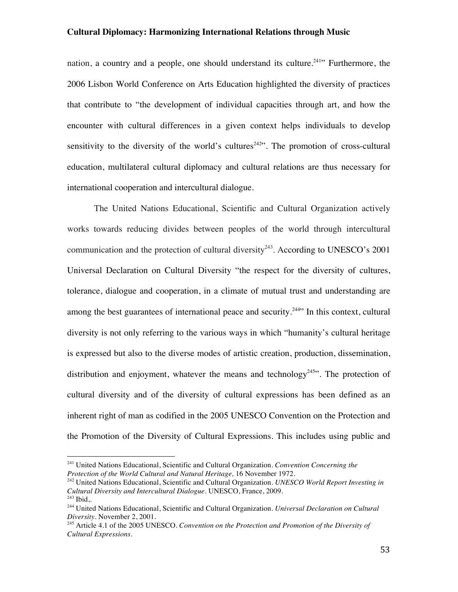nation, a country and a people, one should understand its culture.<sup>241</sup> Furthermore, the 2006 Lisbon World Conference on Arts Education highlighted the diversity of practices that contribute to "the development of individual capacities through art, and how the encounter with cultural differences in a given context helps individuals to develop sensitivity to the diversity of the world's cultures<sup> $242$ </sup>. The promotion of cross-cultural education, multilateral cultural diplomacy and cultural relations are thus necessary for international cooperation and intercultural dialogue.

The United Nations Educational, Scientific and Cultural Organization actively works towards reducing divides between peoples of the world through intercultural communication and the protection of cultural diversity<sup>243</sup>. According to UNESCO's 2001 Universal Declaration on Cultural Diversity "the respect for the diversity of cultures, tolerance, dialogue and cooperation, in a climate of mutual trust and understanding are among the best guarantees of international peace and security.<sup>244</sup> $\cdot$  In this context, cultural diversity is not only referring to the various ways in which "humanity's cultural heritage is expressed but also to the diverse modes of artistic creation, production, dissemination, distribution and enjoyment, whatever the means and technology<sup>245</sup>. The protection of cultural diversity and of the diversity of cultural expressions has been defined as an inherent right of man as codified in the 2005 UNESCO Convention on the Protection and the Promotion of the Diversity of Cultural Expressions. This includes using public and

<sup>241</sup> United Nations Educational, Scientific and Cultural Organization. *Convention Concerning the Protection of the World Cultural and Natural Heritage,* 16 November 1972.

<sup>242</sup> United Nations Educational, Scientific and Cultural Organization. *UNESCO World Report Investing in Cultural Diversity and Intercultural Dialogue.* UNESCO, France, 2009.  $243$  Ibid..

<sup>244</sup> United Nations Educational, Scientific and Cultural Organization. *Universal Declaration on Cultural Diversity.* November 2, 2001.

<sup>245</sup> Article 4.1 of the 2005 UNESCO. *Convention on the Protection and Promotion of the Diversity of Cultural Expressions.*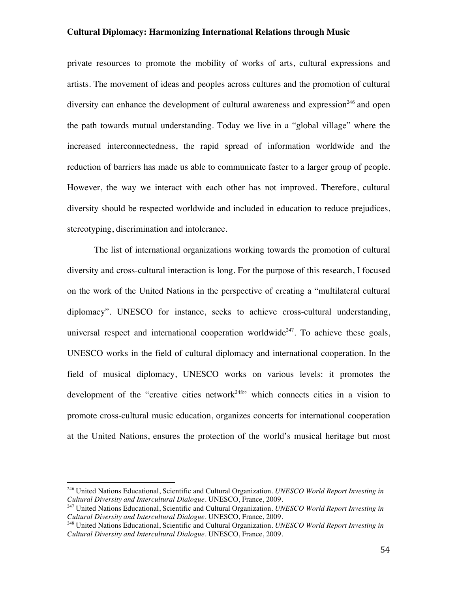private resources to promote the mobility of works of arts, cultural expressions and artists. The movement of ideas and peoples across cultures and the promotion of cultural diversity can enhance the development of cultural awareness and expression<sup>246</sup> and open the path towards mutual understanding. Today we live in a "global village" where the increased interconnectedness, the rapid spread of information worldwide and the reduction of barriers has made us able to communicate faster to a larger group of people. However, the way we interact with each other has not improved. Therefore, cultural diversity should be respected worldwide and included in education to reduce prejudices, stereotyping, discrimination and intolerance.

The list of international organizations working towards the promotion of cultural diversity and cross-cultural interaction is long. For the purpose of this research, I focused on the work of the United Nations in the perspective of creating a "multilateral cultural diplomacy". UNESCO for instance, seeks to achieve cross-cultural understanding, universal respect and international cooperation worldwide<sup>247</sup>. To achieve these goals, UNESCO works in the field of cultural diplomacy and international cooperation. In the field of musical diplomacy, UNESCO works on various levels: it promotes the development of the "creative cities network<sup>248</sup>" which connects cities in a vision to promote cross-cultural music education, organizes concerts for international cooperation at the United Nations, ensures the protection of the world's musical heritage but most

<sup>246</sup> United Nations Educational, Scientific and Cultural Organization. *UNESCO World Report Investing in Cultural Diversity and Intercultural Dialogue.* UNESCO, France, 2009.

<sup>247</sup> United Nations Educational, Scientific and Cultural Organization. *UNESCO World Report Investing in Cultural Diversity and Intercultural Dialogue.* UNESCO, France, 2009.

<sup>248</sup> United Nations Educational, Scientific and Cultural Organization. *UNESCO World Report Investing in Cultural Diversity and Intercultural Dialogue.* UNESCO, France, 2009.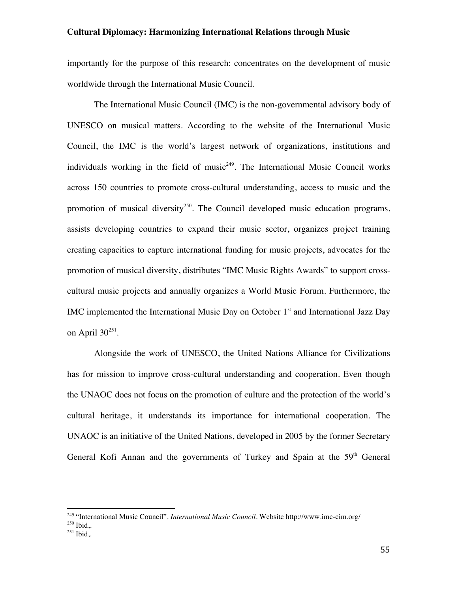importantly for the purpose of this research: concentrates on the development of music worldwide through the International Music Council.

The International Music Council (IMC) is the non-governmental advisory body of UNESCO on musical matters. According to the website of the International Music Council, the IMC is the world's largest network of organizations, institutions and individuals working in the field of music<sup> $249$ </sup>. The International Music Council works across 150 countries to promote cross-cultural understanding, access to music and the promotion of musical diversity<sup>250</sup>. The Council developed music education programs, assists developing countries to expand their music sector, organizes project training creating capacities to capture international funding for music projects, advocates for the promotion of musical diversity, distributes "IMC Music Rights Awards" to support crosscultural music projects and annually organizes a World Music Forum. Furthermore, the IMC implemented the International Music Day on October  $1<sup>st</sup>$  and International Jazz Day on April  $30^{251}$ .

Alongside the work of UNESCO, the United Nations Alliance for Civilizations has for mission to improve cross-cultural understanding and cooperation. Even though the UNAOC does not focus on the promotion of culture and the protection of the world's cultural heritage, it understands its importance for international cooperation. The UNAOC is an initiative of the United Nations, developed in 2005 by the former Secretary General Kofi Annan and the governments of Turkey and Spain at the 59<sup>th</sup> General

<sup>249</sup> "International Music Council". *International Music Council.* Website http://www.imc-cim.org/

<sup>250</sup> Ibid,.

 $251$  Ibid,.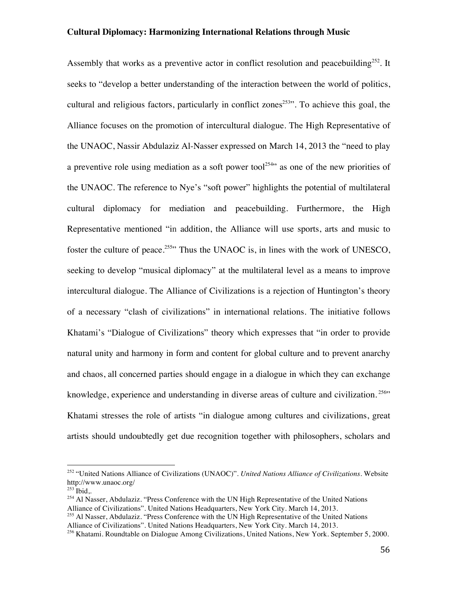Assembly that works as a preventive actor in conflict resolution and peacebuilding<sup>252</sup>. It seeks to "develop a better understanding of the interaction between the world of politics, cultural and religious factors, particularly in conflict zones<sup>253</sup>. To achieve this goal, the Alliance focuses on the promotion of intercultural dialogue. The High Representative of the UNAOC, Nassir Abdulaziz Al-Nasser expressed on March 14, 2013 the "need to play a preventive role using mediation as a soft power tool<sup>254</sup> as one of the new priorities of the UNAOC. The reference to Nye's "soft power" highlights the potential of multilateral cultural diplomacy for mediation and peacebuilding. Furthermore, the High Representative mentioned "in addition, the Alliance will use sports, arts and music to foster the culture of peace.<sup>255</sup> Thus the UNAOC is, in lines with the work of UNESCO, seeking to develop "musical diplomacy" at the multilateral level as a means to improve intercultural dialogue. The Alliance of Civilizations is a rejection of Huntington's theory of a necessary "clash of civilizations" in international relations. The initiative follows Khatami's "Dialogue of Civilizations" theory which expresses that "in order to provide natural unity and harmony in form and content for global culture and to prevent anarchy and chaos, all concerned parties should engage in a dialogue in which they can exchange knowledge, experience and understanding in diverse areas of culture and civilization.<sup>256</sup>" Khatami stresses the role of artists "in dialogue among cultures and civilizations, great artists should undoubtedly get due recognition together with philosophers, scholars and

<sup>252</sup> "United Nations Alliance of Civilizations (UNAOC)". *United Nations Alliance of Civilizations.* Website http://www.unaoc.org/

 $253$  Ibid,.

<sup>&</sup>lt;sup>254</sup> Al Nasser, Abdulaziz. "Press Conference with the UN High Representative of the United Nations Alliance of Civilizations". United Nations Headquarters, New York City. March 14, 2013.

<sup>&</sup>lt;sup>255</sup> Al Nasser, Abdulaziz. "Press Conference with the UN High Representative of the United Nations Alliance of Civilizations". United Nations Headquarters, New York City. March 14, 2013.

<sup>256</sup> Khatami. Roundtable on Dialogue Among Civilizations, United Nations, New York. September 5, 2000.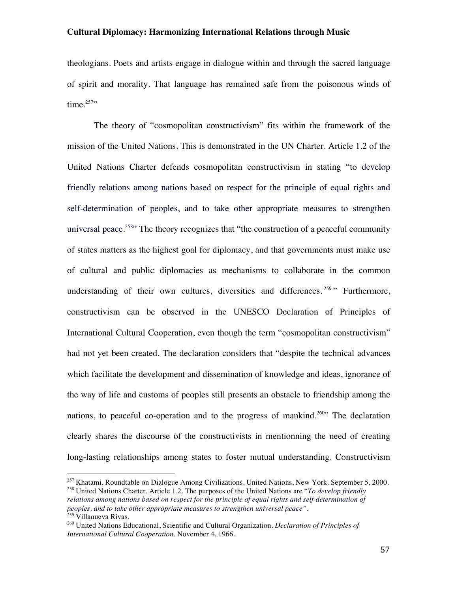theologians. Poets and artists engage in dialogue within and through the sacred language of spirit and morality. That language has remained safe from the poisonous winds of time. $257$ 

The theory of "cosmopolitan constructivism" fits within the framework of the mission of the United Nations. This is demonstrated in the UN Charter. Article 1.2 of the United Nations Charter defends cosmopolitan constructivism in stating "to develop friendly relations among nations based on respect for the principle of equal rights and self-determination of peoples, and to take other appropriate measures to strengthen universal peace.<sup>258</sup> The theory recognizes that "the construction of a peaceful community of states matters as the highest goal for diplomacy, and that governments must make use of cultural and public diplomacies as mechanisms to collaborate in the common understanding of their own cultures, diversities and differences.<sup>259</sup> "Furthermore, constructivism can be observed in the UNESCO Declaration of Principles of International Cultural Cooperation, even though the term "cosmopolitan constructivism" had not yet been created. The declaration considers that "despite the technical advances which facilitate the development and dissemination of knowledge and ideas, ignorance of the way of life and customs of peoples still presents an obstacle to friendship among the nations, to peaceful co-operation and to the progress of mankind.<sup>260</sup> The declaration clearly shares the discourse of the constructivists in mentionning the need of creating long-lasting relationships among states to foster mutual understanding. Constructivism

*peoples, and to take other appropriate measures to strengthen universal peace".* <sup>259</sup> Villanueva Rivas.

<sup>&</sup>lt;sup>257</sup> Khatami. Roundtable on Dialogue Among Civilizations, United Nations, New York. September 5, 2000. <sup>258</sup> United Nations Charter. Article 1.2. The purposes of the United Nations are "*To develop friendly relations among nations based on respect for the principle of equal rights and self-determination of* 

<sup>260</sup> United Nations Educational, Scientific and Cultural Organization. *Declaration of Principles of International Cultural Cooperation.* November 4, 1966.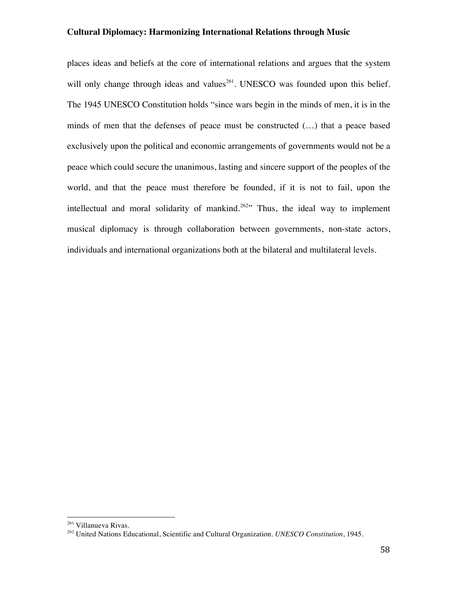places ideas and beliefs at the core of international relations and argues that the system will only change through ideas and values<sup>261</sup>. UNESCO was founded upon this belief. The 1945 UNESCO Constitution holds "since wars begin in the minds of men, it is in the minds of men that the defenses of peace must be constructed (…) that a peace based exclusively upon the political and economic arrangements of governments would not be a peace which could secure the unanimous, lasting and sincere support of the peoples of the world, and that the peace must therefore be founded, if it is not to fail, upon the intellectual and moral solidarity of mankind.<sup>262</sup> Thus, the ideal way to implement musical diplomacy is through collaboration between governments, non-state actors, individuals and international organizations both at the bilateral and multilateral levels.

<sup>261</sup> Villanueva Rivas.

<sup>262</sup> United Nations Educational, Scientific and Cultural Organization. *UNESCO Constitution*, 1945.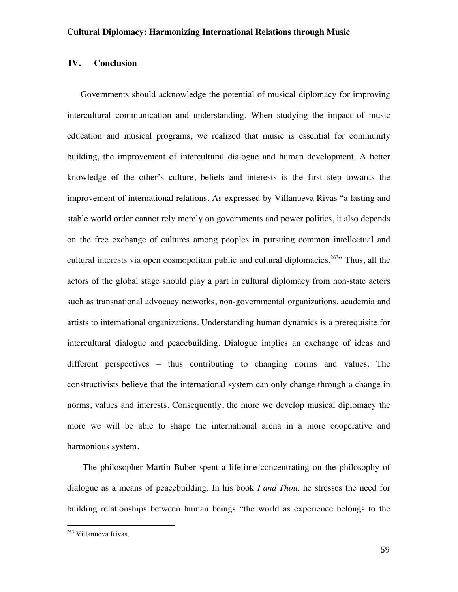### **IV. Conclusion**

Governments should acknowledge the potential of musical diplomacy for improving intercultural communication and understanding. When studying the impact of music education and musical programs, we realized that music is essential for community building, the improvement of intercultural dialogue and human development. A better knowledge of the other's culture, beliefs and interests is the first step towards the improvement of international relations. As expressed by Villanueva Rivas "a lasting and stable world order cannot rely merely on governments and power politics, it also depends on the free exchange of cultures among peoples in pursuing common intellectual and cultural interests via open cosmopolitan public and cultural diplomacies.<sup>263</sup> Thus, all the actors of the global stage should play a part in cultural diplomacy from non-state actors such as transnational advocacy networks, non-governmental organizations, academia and artists to international organizations. Understanding human dynamics is a prerequisite for intercultural dialogue and peacebuilding. Dialogue implies an exchange of ideas and different perspectives – thus contributing to changing norms and values. The constructivists believe that the international system can only change through a change in norms, values and interests. Consequently, the more we develop musical diplomacy the more we will be able to shape the international arena in a more cooperative and harmonious system.

The philosopher Martin Buber spent a lifetime concentrating on the philosophy of dialogue as a means of peacebuilding. In his book *I and Thou,* he stresses the need for building relationships between human beings "the world as experience belongs to the

<sup>263</sup> Villanueva Rivas.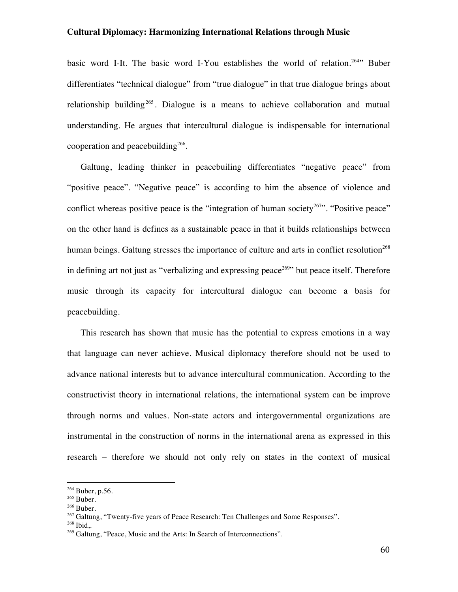basic word I-It. The basic word I-You establishes the world of relation.<sup>264</sup>" Buber differentiates "technical dialogue" from "true dialogue" in that true dialogue brings about relationship building<sup>265</sup>. Dialogue is a means to achieve collaboration and mutual understanding. He argues that intercultural dialogue is indispensable for international cooperation and peacebuilding<sup>266</sup>.

Galtung, leading thinker in peacebuiling differentiates "negative peace" from "positive peace". "Negative peace" is according to him the absence of violence and conflict whereas positive peace is the "integration of human society<sup>267</sup>". "Positive peace" on the other hand is defines as a sustainable peace in that it builds relationships between human beings. Galtung stresses the importance of culture and arts in conflict resolution<sup>268</sup> in defining art not just as "verbalizing and expressing peace<sup>269</sup>" but peace itself. Therefore music through its capacity for intercultural dialogue can become a basis for peacebuilding.

This research has shown that music has the potential to express emotions in a way that language can never achieve. Musical diplomacy therefore should not be used to advance national interests but to advance intercultural communication. According to the constructivist theory in international relations, the international system can be improve through norms and values. Non-state actors and intergovernmental organizations are instrumental in the construction of norms in the international arena as expressed in this research – therefore we should not only rely on states in the context of musical

<sup>264</sup> Buber, p.56.

<sup>265</sup> Buber.

<sup>&</sup>lt;sup>266</sup> Buber.

 $^{267}$  Galtung, "Twenty-five years of Peace Research: Ten Challenges and Some Responses".

<sup>268</sup> Ibid,.

<sup>&</sup>lt;sup>269</sup> Galtung, "Peace, Music and the Arts: In Search of Interconnections".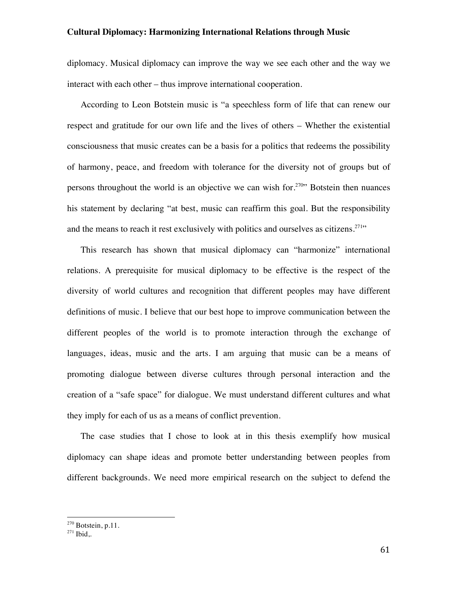diplomacy. Musical diplomacy can improve the way we see each other and the way we interact with each other – thus improve international cooperation.

According to Leon Botstein music is "a speechless form of life that can renew our respect and gratitude for our own life and the lives of others – Whether the existential consciousness that music creates can be a basis for a politics that redeems the possibility of harmony, peace, and freedom with tolerance for the diversity not of groups but of persons throughout the world is an objective we can wish for.<sup>270</sup>" Botstein then nuances his statement by declaring "at best, music can reaffirm this goal. But the responsibility and the means to reach it rest exclusively with politics and ourselves as citizens.<sup>271</sup>"

This research has shown that musical diplomacy can "harmonize" international relations. A prerequisite for musical diplomacy to be effective is the respect of the diversity of world cultures and recognition that different peoples may have different definitions of music. I believe that our best hope to improve communication between the different peoples of the world is to promote interaction through the exchange of languages, ideas, music and the arts. I am arguing that music can be a means of promoting dialogue between diverse cultures through personal interaction and the creation of a "safe space" for dialogue. We must understand different cultures and what they imply for each of us as a means of conflict prevention.

The case studies that I chose to look at in this thesis exemplify how musical diplomacy can shape ideas and promote better understanding between peoples from different backgrounds. We need more empirical research on the subject to defend the

<sup>270</sup> Botstein, p.11.

 $271$  Ibid,.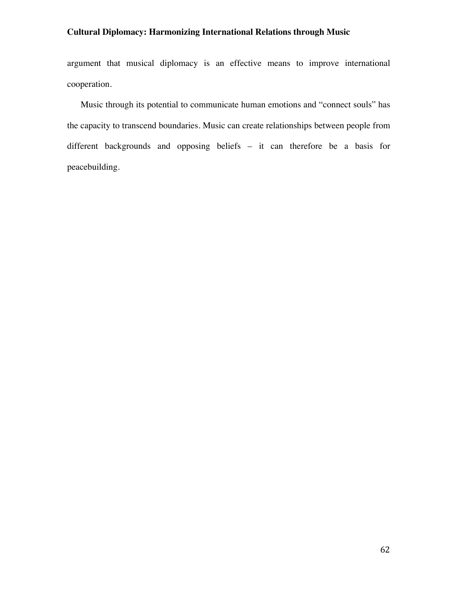argument that musical diplomacy is an effective means to improve international cooperation.

Music through its potential to communicate human emotions and "connect souls" has the capacity to transcend boundaries. Music can create relationships between people from different backgrounds and opposing beliefs – it can therefore be a basis for peacebuilding.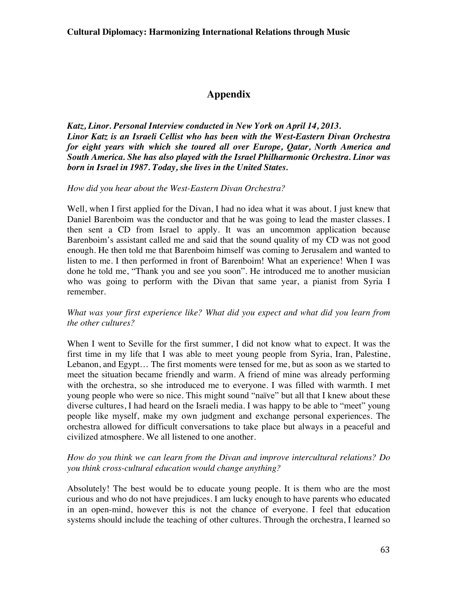# **Appendix**

*Katz, Linor. Personal Interview conducted in New York on April 14, 2013. Linor Katz is an Israeli Cellist who has been with the West-Eastern Divan Orchestra for eight years with which she toured all over Europe, Qatar, North America and South America. She has also played with the Israel Philharmonic Orchestra. Linor was born in Israel in 1987. Today, she lives in the United States.*

### *How did you hear about the West-Eastern Divan Orchestra?*

Well, when I first applied for the Divan, I had no idea what it was about. I just knew that Daniel Barenboim was the conductor and that he was going to lead the master classes. I then sent a CD from Israel to apply. It was an uncommon application because Barenboim's assistant called me and said that the sound quality of my CD was not good enough. He then told me that Barenboim himself was coming to Jerusalem and wanted to listen to me. I then performed in front of Barenboim! What an experience! When I was done he told me, "Thank you and see you soon". He introduced me to another musician who was going to perform with the Divan that same year, a pianist from Syria I remember.

### *What was your first experience like? What did you expect and what did you learn from the other cultures?*

When I went to Seville for the first summer, I did not know what to expect. It was the first time in my life that I was able to meet young people from Syria, Iran, Palestine, Lebanon, and Egypt… The first moments were tensed for me, but as soon as we started to meet the situation became friendly and warm. A friend of mine was already performing with the orchestra, so she introduced me to everyone. I was filled with warmth. I met young people who were so nice. This might sound "naïve" but all that I knew about these diverse cultures, I had heard on the Israeli media. I was happy to be able to "meet" young people like myself, make my own judgment and exchange personal experiences. The orchestra allowed for difficult conversations to take place but always in a peaceful and civilized atmosphere. We all listened to one another.

### *How do you think we can learn from the Divan and improve intercultural relations? Do you think cross-cultural education would change anything?*

Absolutely! The best would be to educate young people. It is them who are the most curious and who do not have prejudices. I am lucky enough to have parents who educated in an open-mind, however this is not the chance of everyone. I feel that education systems should include the teaching of other cultures. Through the orchestra, I learned so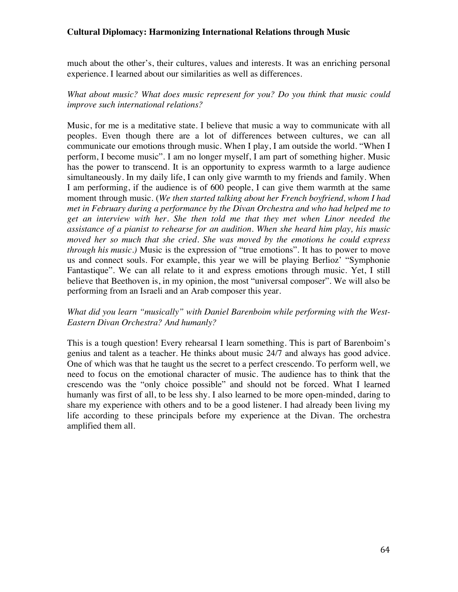much about the other's, their cultures, values and interests. It was an enriching personal experience. I learned about our similarities as well as differences.

## *What about music? What does music represent for you? Do you think that music could improve such international relations?*

Music, for me is a meditative state. I believe that music a way to communicate with all peoples. Even though there are a lot of differences between cultures, we can all communicate our emotions through music. When I play, I am outside the world. "When I perform, I become music". I am no longer myself, I am part of something higher. Music has the power to transcend. It is an opportunity to express warmth to a large audience simultaneously. In my daily life, I can only give warmth to my friends and family. When I am performing, if the audience is of 600 people, I can give them warmth at the same moment through music. (*We then started talking about her French boyfriend, whom I had met in February during a performance by the Divan Orchestra and who had helped me to get an interview with her. She then told me that they met when Linor needed the assistance of a pianist to rehearse for an audition. When she heard him play, his music moved her so much that she cried. She was moved by the emotions he could express through his music.)* Music is the expression of "true emotions". It has to power to move us and connect souls. For example, this year we will be playing Berlioz' "Symphonie Fantastique". We can all relate to it and express emotions through music. Yet, I still believe that Beethoven is, in my opinion, the most "universal composer". We will also be performing from an Israeli and an Arab composer this year.

### *What did you learn "musically" with Daniel Barenboim while performing with the West-Eastern Divan Orchestra? And humanly?*

This is a tough question! Every rehearsal I learn something. This is part of Barenboim's genius and talent as a teacher. He thinks about music 24/7 and always has good advice. One of which was that he taught us the secret to a perfect crescendo. To perform well, we need to focus on the emotional character of music. The audience has to think that the crescendo was the "only choice possible" and should not be forced. What I learned humanly was first of all, to be less shy. I also learned to be more open-minded, daring to share my experience with others and to be a good listener. I had already been living my life according to these principals before my experience at the Divan. The orchestra amplified them all.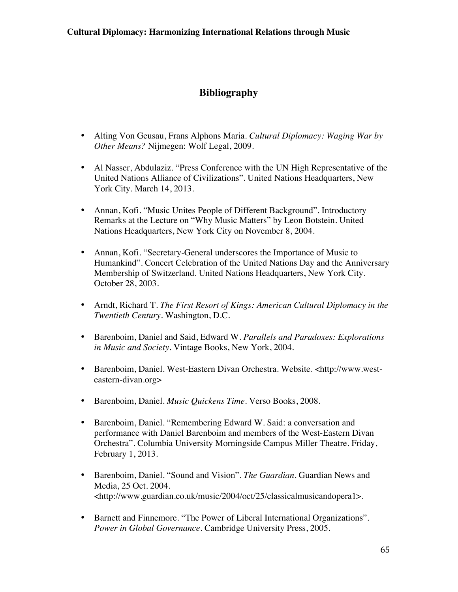# **Bibliography**

- Alting Von Geusau, Frans Alphons Maria. *Cultural Diplomacy: Waging War by Other Means?* Nijmegen: Wolf Legal, 2009.
- Al Nasser, Abdulaziz. "Press Conference with the UN High Representative of the United Nations Alliance of Civilizations". United Nations Headquarters, New York City. March 14, 2013.
- Annan, Kofi. "Music Unites People of Different Background". Introductory Remarks at the Lecture on "Why Music Matters" by Leon Botstein. United Nations Headquarters, New York City on November 8, 2004.
- Annan, Kofi. "Secretary-General underscores the Importance of Music to Humankind". Concert Celebration of the United Nations Day and the Anniversary Membership of Switzerland. United Nations Headquarters, New York City. October 28, 2003.
- Arndt, Richard T. *The First Resort of Kings: American Cultural Diplomacy in the Twentieth Century*. Washington, D.C.
- Barenboim, Daniel and Said, Edward W. *Parallels and Paradoxes: Explorations in Music and Society.* Vintage Books, New York, 2004.
- Barenboim, Daniel. West-Eastern Divan Orchestra. Website. <http://www.westeastern-divan.org>
- Barenboim, Daniel. *Music Quickens Time.* Verso Books, 2008.
- Barenboim, Daniel. "Remembering Edward W. Said: a conversation and performance with Daniel Barenboim and members of the West-Eastern Divan Orchestra". Columbia University Morningside Campus Miller Theatre. Friday, February 1, 2013.
- Barenboim, Daniel. "Sound and Vision". *The Guardian*. Guardian News and Media, 25 Oct. 2004. <http://www.guardian.co.uk/music/2004/oct/25/classicalmusicandopera1>.
- Barnett and Finnemore. "The Power of Liberal International Organizations". *Power in Global Governance.* Cambridge University Press, 2005.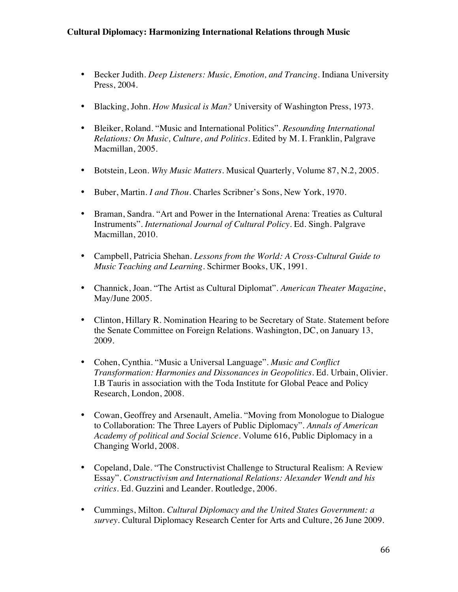- Becker Judith. *Deep Listeners: Music, Emotion, and Trancing.* Indiana University Press, 2004.
- Blacking, John. *How Musical is Man?* University of Washington Press, 1973.
- Bleiker, Roland. "Music and International Politics". *Resounding International Relations: On Music, Culture, and Politics.* Edited by M. I. Franklin, Palgrave Macmillan, 2005.
- Botstein, Leon. *Why Music Matters.* Musical Quarterly, Volume 87, N.2, 2005.
- Buber, Martin. *I and Thou*. Charles Scribner's Sons, New York, 1970.
- Braman, Sandra. "Art and Power in the International Arena: Treaties as Cultural Instruments". *International Journal of Cultural Policy.* Ed. Singh. Palgrave Macmillan, 2010.
- Campbell, Patricia Shehan. *Lessons from the World: A Cross-Cultural Guide to Music Teaching and Learning.* Schirmer Books, UK, 1991.
- Channick, Joan. "The Artist as Cultural Diplomat". *American Theater Magazine*, May/June 2005.
- Clinton, Hillary R. Nomination Hearing to be Secretary of State. Statement before the Senate Committee on Foreign Relations. Washington, DC, on January 13, 2009.
- Cohen, Cynthia. "Music a Universal Language". *Music and Conflict Transformation: Harmonies and Dissonances in Geopolitics.* Ed. Urbain, Olivier. I.B Tauris in association with the Toda Institute for Global Peace and Policy Research, London, 2008.
- Cowan, Geoffrey and Arsenault, Amelia. "Moving from Monologue to Dialogue to Collaboration: The Three Layers of Public Diplomacy". *Annals of American Academy of political and Social Science.* Volume 616, Public Diplomacy in a Changing World, 2008.
- Copeland, Dale. "The Constructivist Challenge to Structural Realism: A Review Essay". *Constructivism and International Relations: Alexander Wendt and his critics.* Ed. Guzzini and Leander. Routledge, 2006.
- Cummings, Milton. *Cultural Diplomacy and the United States Government: a survey*. Cultural Diplomacy Research Center for Arts and Culture, 26 June 2009.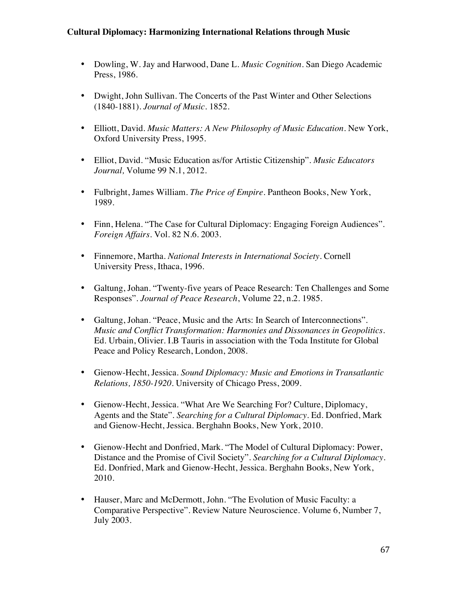- Dowling, W. Jay and Harwood, Dane L. *Music Cognition.* San Diego Academic Press, 1986.
- Dwight, John Sullivan. The Concerts of the Past Winter and Other Selections (1840-1881). *Journal of Music.* 1852.
- Elliott, David. *Music Matters: A New Philosophy of Music Education*. New York, Oxford University Press, 1995.
- Elliot, David. "Music Education as/for Artistic Citizenship". *Music Educators Journal,* Volume 99 N.1, 2012.
- Fulbright, James William. *The Price of Empire.* Pantheon Books, New York, 1989.
- Finn, Helena. "The Case for Cultural Diplomacy: Engaging Foreign Audiences". *Foreign Affairs.* Vol. 82 N.6. 2003.
- Finnemore, Martha. *National Interests in International Society.* Cornell University Press, Ithaca, 1996.
- Galtung, Johan. "Twenty-five years of Peace Research: Ten Challenges and Some Responses". *Journal of Peace Research*, Volume 22, n.2. 1985.
- Galtung, Johan. "Peace, Music and the Arts: In Search of Interconnections". *Music and Conflict Transformation: Harmonies and Dissonances in Geopolitics*. Ed. Urbain, Olivier. I.B Tauris in association with the Toda Institute for Global Peace and Policy Research, London, 2008.
- Gienow-Hecht, Jessica. *Sound Diplomacy: Music and Emotions in Transatlantic Relations, 1850-1920.* University of Chicago Press, 2009.
- Gienow-Hecht, Jessica. "What Are We Searching For? Culture, Diplomacy, Agents and the State". *Searching for a Cultural Diplomacy.* Ed. Donfried, Mark and Gienow-Hecht, Jessica. Berghahn Books, New York, 2010.
- Gienow-Hecht and Donfried, Mark. "The Model of Cultural Diplomacy: Power, Distance and the Promise of Civil Society". *Searching for a Cultural Diplomacy.*  Ed. Donfried, Mark and Gienow-Hecht, Jessica. Berghahn Books, New York, 2010.
- Hauser, Marc and McDermott, John. "The Evolution of Music Faculty: a Comparative Perspective". Review Nature Neuroscience. Volume 6, Number 7, July 2003.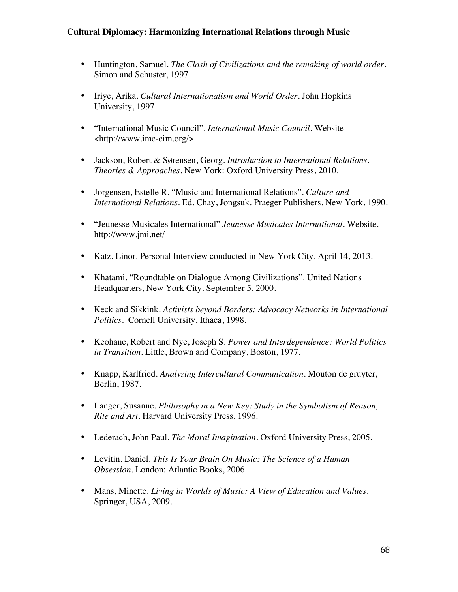- Huntington, Samuel. *The Clash of Civilizations and the remaking of world order.* Simon and Schuster, 1997.
- Iriye, Arika. *Cultural Internationalism and World Order.* John Hopkins University, 1997.
- "International Music Council". *International Music Council.* Website <http://www.imc-cim.org/>
- Jackson, Robert & Sørensen, Georg. *Introduction to International Relations. Theories & Approaches*. New York: Oxford University Press, 2010.
- Jorgensen, Estelle R. "Music and International Relations". *Culture and International Relations*. Ed. Chay, Jongsuk. Praeger Publishers, New York, 1990.
- "Jeunesse Musicales International" *Jeunesse Musicales International.* Website. http://www.jmi.net/
- Katz, Linor. Personal Interview conducted in New York City. April 14, 2013.
- Khatami. "Roundtable on Dialogue Among Civilizations". United Nations Headquarters, New York City. September 5, 2000.
- Keck and Sikkink*. Activists beyond Borders: Advocacy Networks in International Politics.* Cornell University, Ithaca, 1998.
- Keohane, Robert and Nye, Joseph S. *Power and Interdependence: World Politics in Transition.* Little, Brown and Company, Boston, 1977.
- Knapp, Karlfried. *Analyzing Intercultural Communication.* Mouton de gruyter, Berlin, 1987.
- Langer, Susanne. *Philosophy in a New Key: Study in the Symbolism of Reason, Rite and Art.* Harvard University Press, 1996.
- Lederach, John Paul. *The Moral Imagination.* Oxford University Press, 2005.
- Levitin, Daniel*. This Is Your Brain On Music: The Science of a Human Obsession.* London: Atlantic Books, 2006.
- Mans, Minette. *Living in Worlds of Music: A View of Education and Values.* Springer, USA, 2009.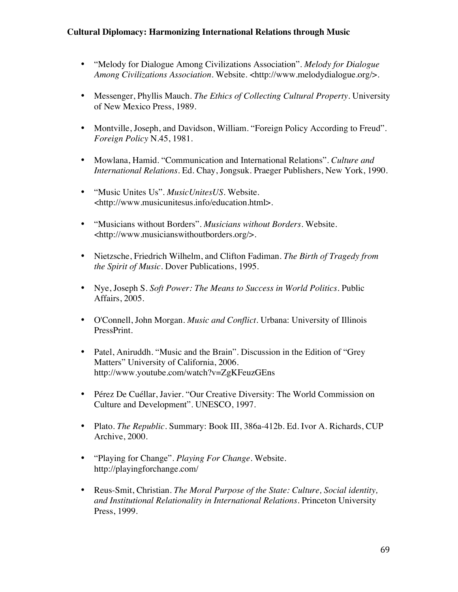- "Melody for Dialogue Among Civilizations Association". *Melody for Dialogue Among Civilizations Association*. Website. <http://www.melodydialogue.org/>.
- Messenger, Phyllis Mauch. *The Ethics of Collecting Cultural Property*. University of New Mexico Press, 1989.
- Montville, Joseph, and Davidson, William. "Foreign Policy According to Freud". *Foreign Policy* N.45, 1981.
- Mowlana, Hamid. "Communication and International Relations". *Culture and International Relations*. Ed. Chay, Jongsuk. Praeger Publishers, New York, 1990.
- "Music Unites Us". *MusicUnitesUS*. Website. <http://www.musicunitesus.info/education.html>.
- "Musicians without Borders". *Musicians without Borders*. Website. <http://www.musicianswithoutborders.org/>.
- Nietzsche, Friedrich Wilhelm, and Clifton Fadiman. *The Birth of Tragedy from the Spirit of Music*. Dover Publications, 1995.
- Nye, Joseph S. *Soft Power: The Means to Success in World Politics*. Public Affairs, 2005.
- O'Connell, John Morgan. *Music and Conflict*. Urbana: University of Illinois PressPrint.
- Patel, Aniruddh. "Music and the Brain". Discussion in the Edition of "Grey" Matters" University of California, 2006. http://www.youtube.com/watch?v=ZgKFeuzGEns
- Pérez De Cuéllar, Javier. "Our Creative Diversity: The World Commission on Culture and Development". UNESCO, 1997.
- Plato. *The Republic*. Summary: Book III, 386a-412b. Ed. Ivor A. Richards, CUP Archive, 2000.
- "Playing for Change". *Playing For Change*. Website. http://playingforchange.com/
- Reus-Smit, Christian. *The Moral Purpose of the State: Culture, Social identity, and Institutional Relationality in International Relations.* Princeton University Press, 1999.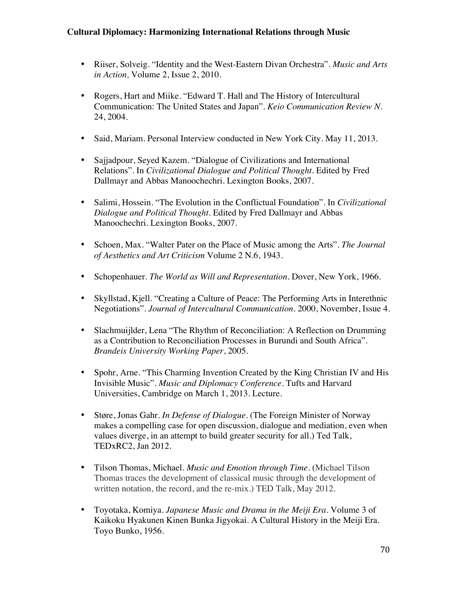- Riiser, Solveig. "Identity and the West-Eastern Divan Orchestra". *Music and Arts in Action,* Volume 2, Issue 2, 2010.
- Rogers, Hart and Miike. "Edward T. Hall and The History of Intercultural Communication: The United States and Japan". *Keio Communication Review N.* 24, 2004.
- Said, Mariam. Personal Interview conducted in New York City. May 11, 2013.
- Sajjadpour, Seyed Kazem. "Dialogue of Civilizations and International Relations". In *Civilizational Dialogue and Political Thought.* Edited by Fred Dallmayr and Abbas Manoochechri. Lexington Books, 2007.
- Salimi, Hossein. "The Evolution in the Conflictual Foundation". In *Civilizational Dialogue and Political Thought.* Edited by Fred Dallmayr and Abbas Manoochechri. Lexington Books, 2007.
- Schoen, Max. "Walter Pater on the Place of Music among the Arts". *The Journal of Aesthetics and Art Criticism* Volume 2 N.6, 1943.
- Schopenhauer. *The World as Will and Representation.* Dover, New York, 1966.
- Skyllstad, Kjell. "Creating a Culture of Peace: The Performing Arts in Interethnic Negotiations". *Journal of Intercultural Communication.* 2000, November, Issue 4.
- Slachmuijlder, Lena "The Rhythm of Reconciliation: A Reflection on Drumming as a Contribution to Reconciliation Processes in Burundi and South Africa". *Brandeis University Working Paper*, 2005.
- Spohr, Arne. "This Charming Invention Created by the King Christian IV and His Invisible Music". *Music and Diplomacy Conference.* Tufts and Harvard Universities, Cambridge on March 1, 2013. Lecture.
- Støre, Jonas Gahr*. In Defense of Dialogue*. (The Foreign Minister of Norway makes a compelling case for open discussion, dialogue and mediation, even when values diverge, in an attempt to build greater security for all.) Ted Talk, TEDxRC2, Jan 2012.
- Tilson Thomas, Michael. *Music and Emotion through Time.* (Michael Tilson Thomas traces the development of classical music through the development of written notation, the record, and the re-mix.) TED Talk, May 2012.
- Toyotaka, Komiya. *Japanese Music and Drama in the Meiji Era.* Volume 3 of Kaikoku Hyakunen Kinen Bunka Jigyokai. A Cultural History in the Meiji Era. Toyo Bunko, 1956.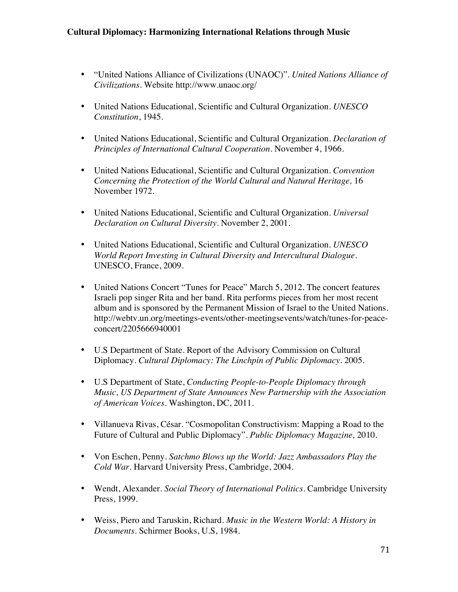- "United Nations Alliance of Civilizations (UNAOC)". *United Nations Alliance of Civilizations.* Website http://www.unaoc.org/
- United Nations Educational, Scientific and Cultural Organization. *UNESCO Constitution*, 1945.
- United Nations Educational, Scientific and Cultural Organization. *Declaration of Principles of International Cultural Cooperation.* November 4, 1966.
- United Nations Educational, Scientific and Cultural Organization. *Convention Concerning the Protection of the World Cultural and Natural Heritage,* 16 November 1972.
- United Nations Educational, Scientific and Cultural Organization. *Universal Declaration on Cultural Diversity.* November 2, 2001.
- United Nations Educational, Scientific and Cultural Organization. *UNESCO World Report Investing in Cultural Diversity and Intercultural Dialogue.*  UNESCO, France, 2009.
- United Nations Concert "Tunes for Peace" March 5, 2012. The concert features Israeli pop singer Rita and her band. Rita performs pieces from her most recent album and is sponsored by the Permanent Mission of Israel to the United Nations. http://webtv.un.org/meetings-events/other-meetingsevents/watch/tunes-for-peaceconcert/2205666940001
- U.S Department of State. Report of the Advisory Commission on Cultural Diplomacy. *Cultural Diplomacy: The Linchpin of Public Diplomacy.* 2005.
- U.S Department of State, *Conducting People-to-People Diplomacy through Music, US Department of State Announces New Partnership with the Association of American Voices.* Washington, DC, 2011.
- Villanueva Rivas, César. "Cosmopolitan Constructivism: Mapping a Road to the Future of Cultural and Public Diplomacy". *Public Diplomacy Magazine,* 2010.
- Von Eschen, Penny. *Satchmo Blows up the World: Jazz Ambassadors Play the Cold War.* Harvard University Press, Cambridge, 2004.
- Wendt, Alexander. *Social Theory of International Politics*. Cambridge University Press, 1999.
- Weiss, Piero and Taruskin, Richard. *Music in the Western World: A History in Documents.* Schirmer Books, U.S, 1984.